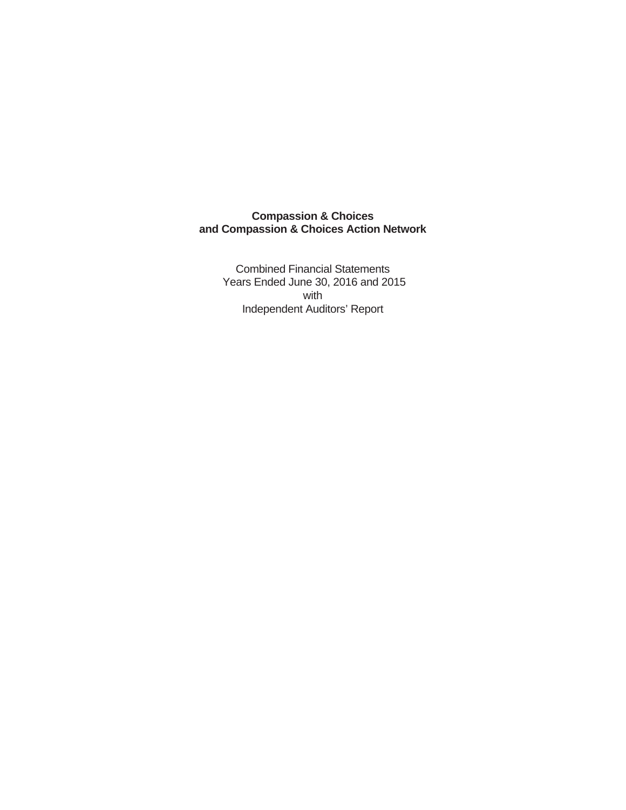Combined Financial Statements Years Ended June 30, 2016 and 2015 with Independent Auditors' Report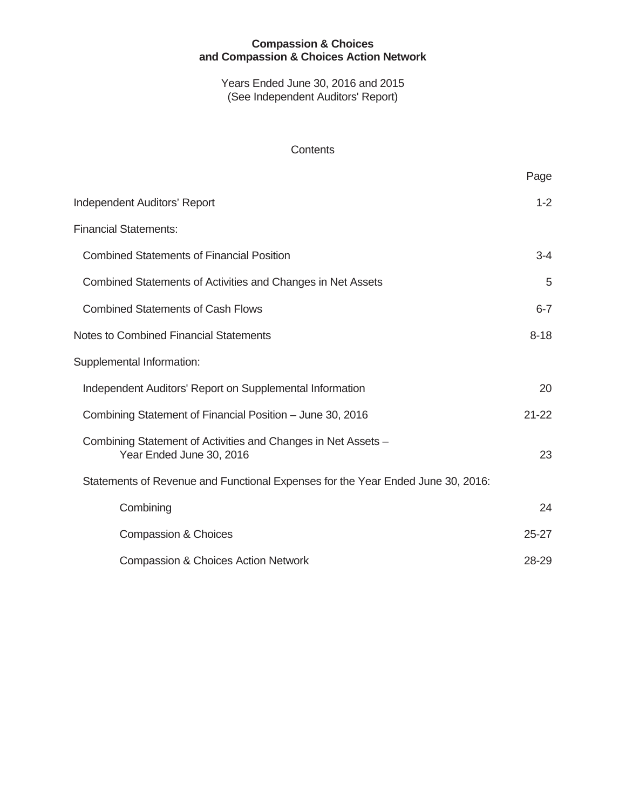Years Ended June 30, 2016 and 2015 (See Independent Auditors' Report)

#### **Contents**

|                                                                                           | Page      |
|-------------------------------------------------------------------------------------------|-----------|
| <b>Independent Auditors' Report</b>                                                       | $1 - 2$   |
| <b>Financial Statements:</b>                                                              |           |
| <b>Combined Statements of Financial Position</b>                                          | $3 - 4$   |
| Combined Statements of Activities and Changes in Net Assets                               | 5         |
| <b>Combined Statements of Cash Flows</b>                                                  | $6 - 7$   |
| <b>Notes to Combined Financial Statements</b>                                             | $8 - 18$  |
| Supplemental Information:                                                                 |           |
| Independent Auditors' Report on Supplemental Information                                  | 20        |
| Combining Statement of Financial Position - June 30, 2016                                 | $21 - 22$ |
| Combining Statement of Activities and Changes in Net Assets -<br>Year Ended June 30, 2016 | 23        |
| Statements of Revenue and Functional Expenses for the Year Ended June 30, 2016:           |           |
| Combining                                                                                 | 24        |
| <b>Compassion &amp; Choices</b>                                                           | $25 - 27$ |
| <b>Compassion &amp; Choices Action Network</b>                                            | 28-29     |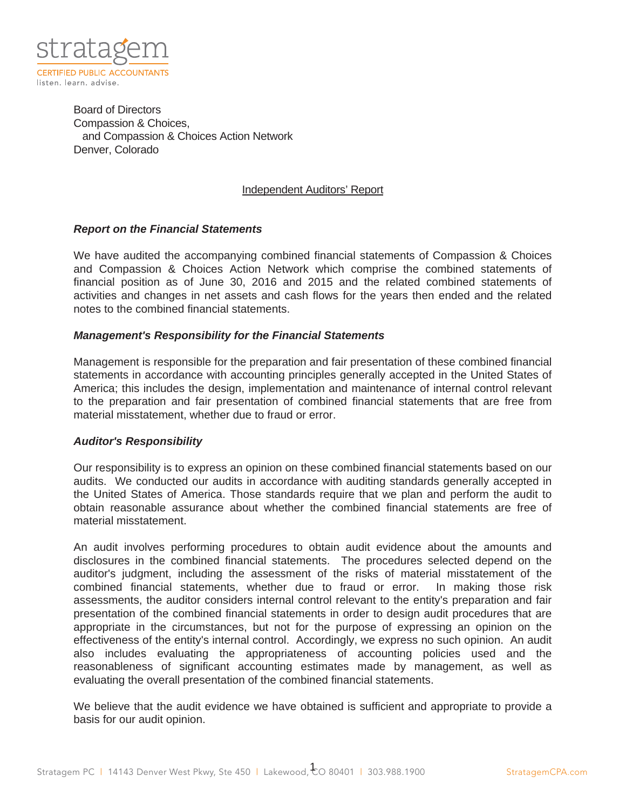

Board of Directors Compassion & Choices, and Compassion & Choices Action Network Denver, Colorado

#### Independent Auditors' Report

#### *Report on the Financial Statements*

We have audited the accompanying combined financial statements of Compassion & Choices and Compassion & Choices Action Network which comprise the combined statements of financial position as of June 30, 2016 and 2015 and the related combined statements of activities and changes in net assets and cash flows for the years then ended and the related notes to the combined financial statements.

#### *Management's Responsibility for the Financial Statements*

Management is responsible for the preparation and fair presentation of these combined financial statements in accordance with accounting principles generally accepted in the United States of America; this includes the design, implementation and maintenance of internal control relevant to the preparation and fair presentation of combined financial statements that are free from material misstatement, whether due to fraud or error.

#### *Auditor's Responsibility*

Our responsibility is to express an opinion on these combined financial statements based on our audits. We conducted our audits in accordance with auditing standards generally accepted in the United States of America. Those standards require that we plan and perform the audit to obtain reasonable assurance about whether the combined financial statements are free of material misstatement.

An audit involves performing procedures to obtain audit evidence about the amounts and disclosures in the combined financial statements. The procedures selected depend on the auditor's judgment, including the assessment of the risks of material misstatement of the combined financial statements, whether due to fraud or error. In making those risk assessments, the auditor considers internal control relevant to the entity's preparation and fair presentation of the combined financial statements in order to design audit procedures that are appropriate in the circumstances, but not for the purpose of expressing an opinion on the effectiveness of the entity's internal control. Accordingly, we express no such opinion. An audit also includes evaluating the appropriateness of accounting policies used and the reasonableness of significant accounting estimates made by management, as well as evaluating the overall presentation of the combined financial statements.

We believe that the audit evidence we have obtained is sufficient and appropriate to provide a basis for our audit opinion.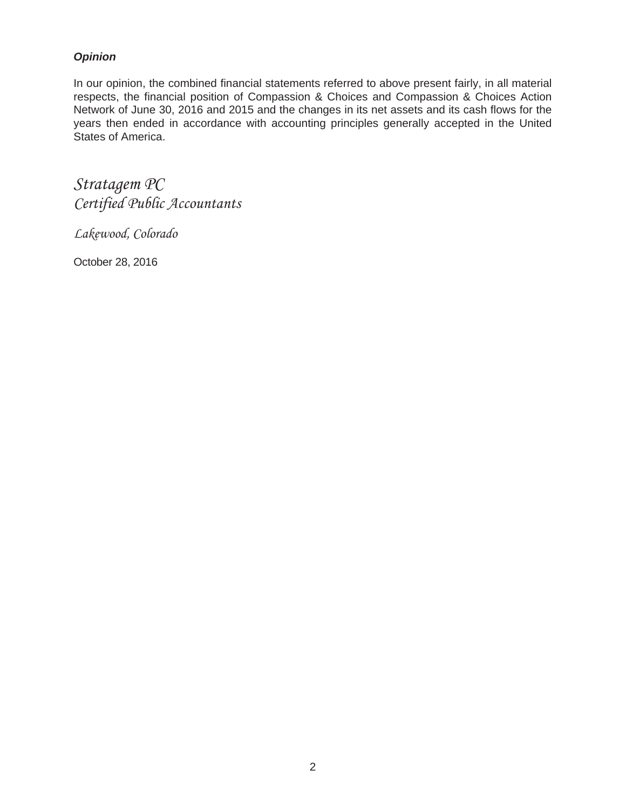# *Opinion*

In our opinion, the combined financial statements referred to above present fairly, in all material respects, the financial position of Compassion & Choices and Compassion & Choices Action Network of June 30, 2016 and 2015 and the changes in its net assets and its cash flows for the years then ended in accordance with accounting principles generally accepted in the United States of America.

Stratagem PC Certified Public Accountants

Lakewood, Colorado

October 28, 2016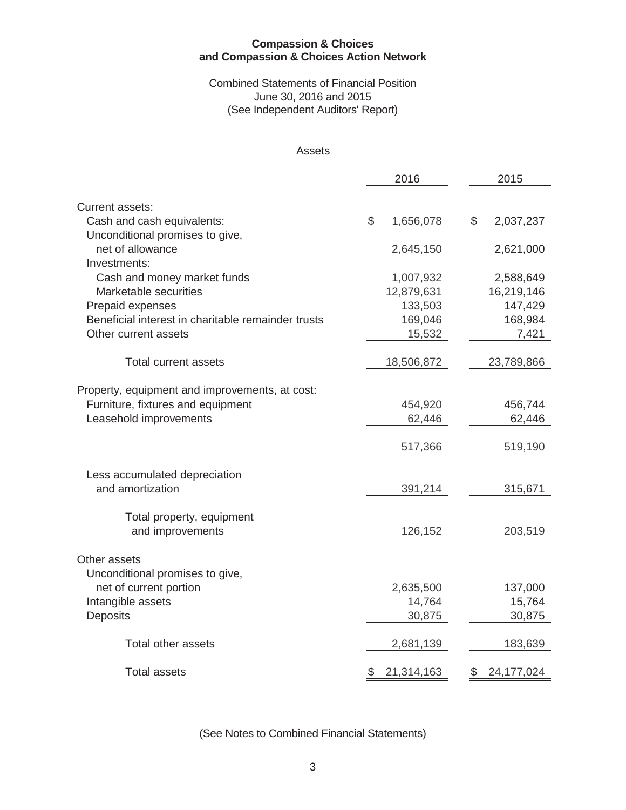#### Combined Statements of Financial Position June 30, 2016 and 2015 (See Independent Auditors' Report)

#### Assets

|                                                    | 2016             | 2015               |
|----------------------------------------------------|------------------|--------------------|
| <b>Current assets:</b>                             |                  |                    |
| Cash and cash equivalents:                         | \$<br>1,656,078  | \$<br>2,037,237    |
| Unconditional promises to give,                    |                  |                    |
| net of allowance                                   | 2,645,150        | 2,621,000          |
| Investments:                                       |                  |                    |
| Cash and money market funds                        | 1,007,932        | 2,588,649          |
| Marketable securities                              | 12,879,631       | 16,219,146         |
| Prepaid expenses                                   | 133,503          | 147,429            |
| Beneficial interest in charitable remainder trusts | 169,046          | 168,984            |
| Other current assets                               | 15,532           | 7,421              |
| <b>Total current assets</b>                        | 18,506,872       | 23,789,866         |
|                                                    |                  |                    |
| Property, equipment and improvements, at cost:     |                  |                    |
| Furniture, fixtures and equipment                  | 454,920          | 456,744            |
| Leasehold improvements                             | 62,446           | 62,446             |
|                                                    |                  |                    |
|                                                    | 517,366          | 519,190            |
| Less accumulated depreciation                      |                  |                    |
| and amortization                                   | 391,214          | 315,671            |
| Total property, equipment                          |                  |                    |
| and improvements                                   | 126,152          | 203,519            |
|                                                    |                  |                    |
| Other assets                                       |                  |                    |
| Unconditional promises to give,                    |                  |                    |
| net of current portion                             | 2,635,500        | 137,000            |
| Intangible assets                                  | 14,764           | 15,764             |
| <b>Deposits</b>                                    | 30,875           | 30,875             |
| <b>Total other assets</b>                          | 2,681,139        | 183,639            |
|                                                    |                  |                    |
| <b>Total assets</b>                                | \$<br>21,314,163 | \$<br>24, 177, 024 |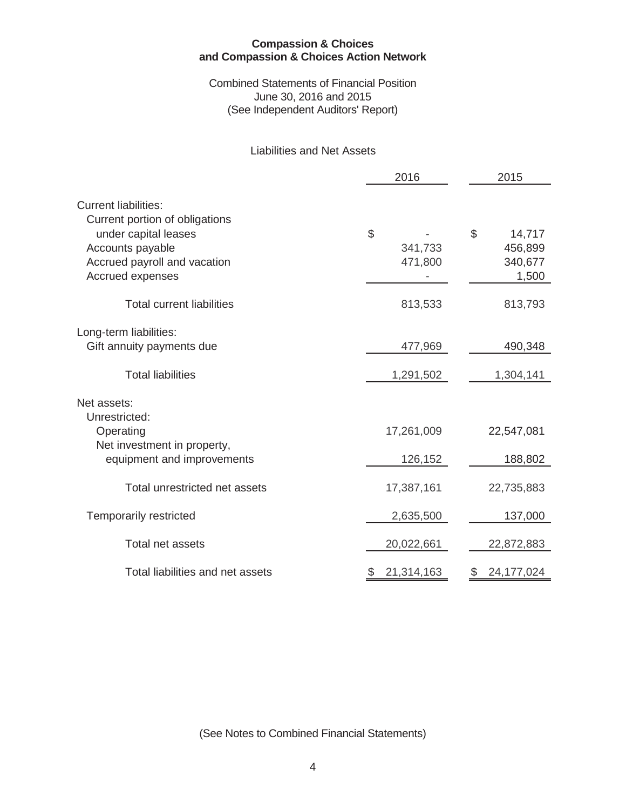#### Combined Statements of Financial Position June 30, 2016 and 2015 (See Independent Auditors' Report)

#### Liabilities and Net Assets

|                                                                                                                                                               | 2016                     | 2015                                        |
|---------------------------------------------------------------------------------------------------------------------------------------------------------------|--------------------------|---------------------------------------------|
| <b>Current liabilities:</b><br>Current portion of obligations<br>under capital leases<br>Accounts payable<br>Accrued payroll and vacation<br>Accrued expenses | \$<br>341,733<br>471,800 | \$<br>14,717<br>456,899<br>340,677<br>1,500 |
| <b>Total current liabilities</b>                                                                                                                              | 813,533                  | 813,793                                     |
| Long-term liabilities:<br>Gift annuity payments due                                                                                                           | 477,969                  | 490,348                                     |
| <b>Total liabilities</b>                                                                                                                                      | 1,291,502                | 1,304,141                                   |
| Net assets:<br>Unrestricted:<br>Operating<br>Net investment in property,<br>equipment and improvements                                                        | 17,261,009<br>126,152    | 22,547,081<br>188,802                       |
| Total unrestricted net assets                                                                                                                                 | 17,387,161               | 22,735,883                                  |
| <b>Temporarily restricted</b>                                                                                                                                 | 2,635,500                | 137,000                                     |
| Total net assets                                                                                                                                              | 20,022,661               | 22,872,883                                  |
| Total liabilities and net assets                                                                                                                              | 21,314,163               | 24, 177, 024                                |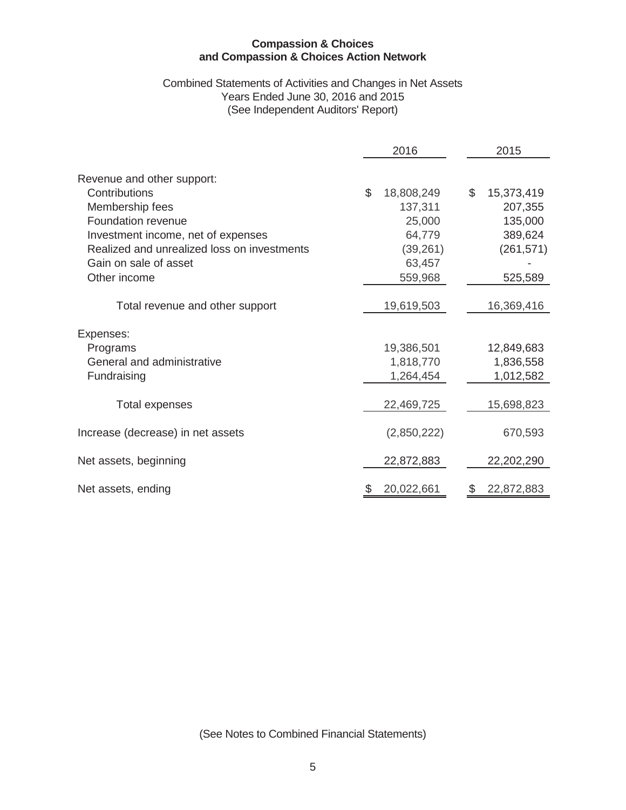#### Combined Statements of Activities and Changes in Net Assets Years Ended June 30, 2016 and 2015 (See Independent Auditors' Report)

|                                             | 2016 |             |    | 2015       |
|---------------------------------------------|------|-------------|----|------------|
| Revenue and other support:                  |      |             |    |            |
| Contributions                               | \$   | 18,808,249  | \$ | 15,373,419 |
| Membership fees                             |      | 137,311     |    | 207,355    |
| Foundation revenue                          |      | 25,000      |    | 135,000    |
| Investment income, net of expenses          |      | 64,779      |    | 389,624    |
| Realized and unrealized loss on investments |      | (39, 261)   |    | (261, 571) |
| Gain on sale of asset                       |      | 63,457      |    |            |
| Other income                                |      | 559,968     |    | 525,589    |
| Total revenue and other support             |      | 19,619,503  |    | 16,369,416 |
| Expenses:                                   |      |             |    |            |
| Programs                                    |      | 19,386,501  |    | 12,849,683 |
| General and administrative                  |      | 1,818,770   |    | 1,836,558  |
| Fundraising                                 |      | 1,264,454   |    | 1,012,582  |
| <b>Total expenses</b>                       |      | 22,469,725  |    | 15,698,823 |
| Increase (decrease) in net assets           |      | (2,850,222) |    | 670,593    |
| Net assets, beginning                       |      | 22,872,883  |    | 22,202,290 |
| Net assets, ending                          |      | 20,022,661  | S  | 22,872,883 |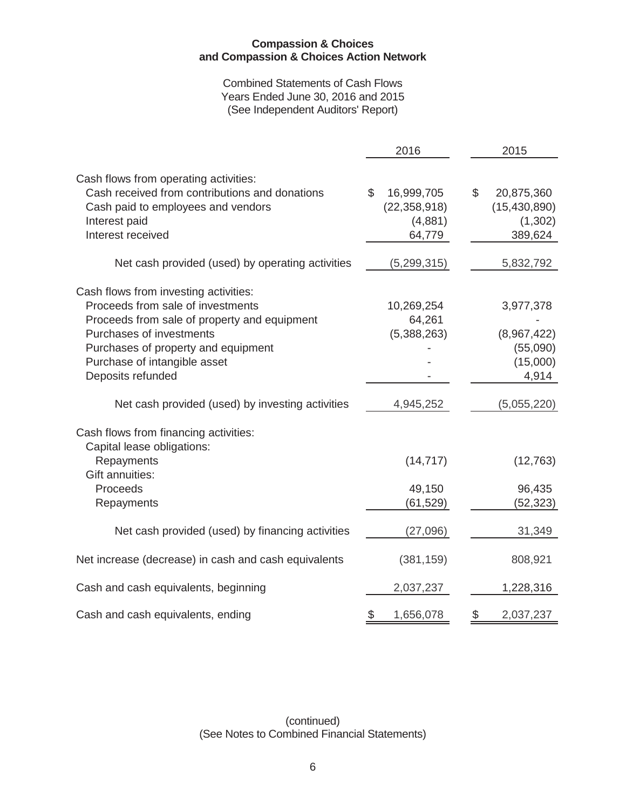Combined Statements of Cash Flows Years Ended June 30, 2016 and 2015 (See Independent Auditors' Report)

|                                                                                                                                                                                                                                                    | 2016                                                             | 2015                                                      |
|----------------------------------------------------------------------------------------------------------------------------------------------------------------------------------------------------------------------------------------------------|------------------------------------------------------------------|-----------------------------------------------------------|
| Cash flows from operating activities:<br>Cash received from contributions and donations<br>Cash paid to employees and vendors<br>Interest paid<br>Interest received                                                                                | $\mathbb S$<br>16,999,705<br>(22, 358, 918)<br>(4,881)<br>64,779 | \$<br>20,875,360<br>(15, 430, 890)<br>(1,302)<br>389,624  |
| Net cash provided (used) by operating activities                                                                                                                                                                                                   | (5, 299, 315)                                                    | 5,832,792                                                 |
| Cash flows from investing activities:<br>Proceeds from sale of investments<br>Proceeds from sale of property and equipment<br>Purchases of investments<br>Purchases of property and equipment<br>Purchase of intangible asset<br>Deposits refunded | 10,269,254<br>64,261<br>(5,388,263)                              | 3,977,378<br>(8,967,422)<br>(55,090)<br>(15,000)<br>4,914 |
| Net cash provided (used) by investing activities                                                                                                                                                                                                   | 4,945,252                                                        | (5,055,220)                                               |
| Cash flows from financing activities:<br>Capital lease obligations:<br>Repayments<br>Gift annuities:<br>Proceeds<br>Repayments                                                                                                                     | (14, 717)<br>49,150<br>(61,529)                                  | (12, 763)<br>96,435<br>(52, 323)                          |
| Net cash provided (used) by financing activities                                                                                                                                                                                                   | (27,096)                                                         | 31,349                                                    |
| Net increase (decrease) in cash and cash equivalents                                                                                                                                                                                               | (381, 159)                                                       | 808,921                                                   |
| Cash and cash equivalents, beginning                                                                                                                                                                                                               | 2,037,237                                                        | 1,228,316                                                 |
| Cash and cash equivalents, ending                                                                                                                                                                                                                  | $\$\$<br>1,656,078                                               | \$<br>2,037,237                                           |

(continued) (See Notes to Combined Financial Statements)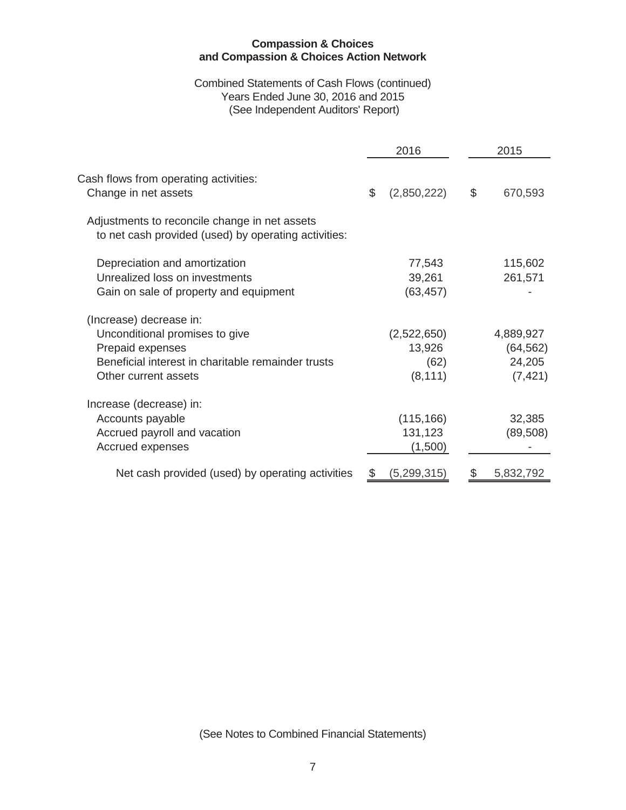#### Combined Statements of Cash Flows (continued) Years Ended June 30, 2016 and 2015 (See Independent Auditors' Report)

|                                                                                                                                                             | 2016                                      | 2015                                         |
|-------------------------------------------------------------------------------------------------------------------------------------------------------------|-------------------------------------------|----------------------------------------------|
| Cash flows from operating activities:<br>Change in net assets                                                                                               | \$<br>(2,850,222)                         | \$<br>670,593                                |
| Adjustments to reconcile change in net assets<br>to net cash provided (used) by operating activities:                                                       |                                           |                                              |
| Depreciation and amortization<br>Unrealized loss on investments<br>Gain on sale of property and equipment                                                   | 77,543<br>39,261<br>(63, 457)             | 115,602<br>261,571                           |
| (Increase) decrease in:<br>Unconditional promises to give<br>Prepaid expenses<br>Beneficial interest in charitable remainder trusts<br>Other current assets | (2,522,650)<br>13,926<br>(62)<br>(8, 111) | 4,889,927<br>(64, 562)<br>24,205<br>(7, 421) |
| Increase (decrease) in:<br>Accounts payable<br>Accrued payroll and vacation<br>Accrued expenses                                                             | (115, 166)<br>131,123<br>(1,500)          | 32,385<br>(89, 508)                          |
| Net cash provided (used) by operating activities                                                                                                            | (5,299,315)                               | 5,832,792                                    |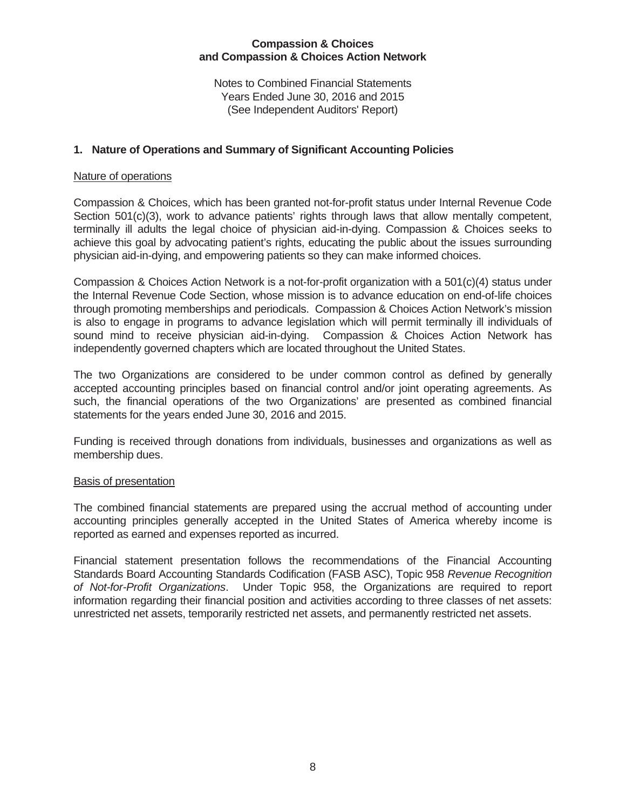Notes to Combined Financial Statements Years Ended June 30, 2016 and 2015 (See Independent Auditors' Report)

# **1. Nature of Operations and Summary of Significant Accounting Policies**

#### Nature of operations

Compassion & Choices, which has been granted not-for-profit status under Internal Revenue Code Section 501(c)(3), work to advance patients' rights through laws that allow mentally competent, terminally ill adults the legal choice of physician aid-in-dying. Compassion & Choices seeks to achieve this goal by advocating patient's rights, educating the public about the issues surrounding physician aid-in-dying, and empowering patients so they can make informed choices.

Compassion & Choices Action Network is a not-for-profit organization with a 501(c)(4) status under the Internal Revenue Code Section, whose mission is to advance education on end-of-life choices through promoting memberships and periodicals. Compassion & Choices Action Network's mission is also to engage in programs to advance legislation which will permit terminally ill individuals of sound mind to receive physician aid-in-dying. Compassion & Choices Action Network has independently governed chapters which are located throughout the United States.

The two Organizations are considered to be under common control as defined by generally accepted accounting principles based on financial control and/or joint operating agreements. As such, the financial operations of the two Organizations' are presented as combined financial statements for the years ended June 30, 2016 and 2015.

Funding is received through donations from individuals, businesses and organizations as well as membership dues.

#### **Basis of presentation**

The combined financial statements are prepared using the accrual method of accounting under accounting principles generally accepted in the United States of America whereby income is reported as earned and expenses reported as incurred.

Financial statement presentation follows the recommendations of the Financial Accounting Standards Board Accounting Standards Codification (FASB ASC), Topic 958 *Revenue Recognition of Not-for-Profit Organizations*. Under Topic 958, the Organizations are required to report information regarding their financial position and activities according to three classes of net assets: unrestricted net assets, temporarily restricted net assets, and permanently restricted net assets.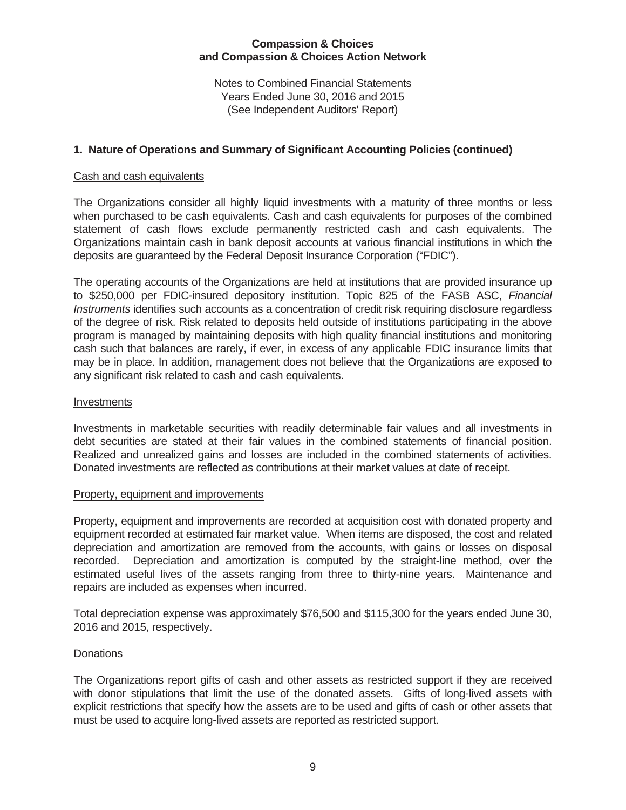Notes to Combined Financial Statements Years Ended June 30, 2016 and 2015 (See Independent Auditors' Report)

# **1. Nature of Operations and Summary of Significant Accounting Policies (continued)**

#### Cash and cash equivalents

The Organizations consider all highly liquid investments with a maturity of three months or less when purchased to be cash equivalents. Cash and cash equivalents for purposes of the combined statement of cash flows exclude permanently restricted cash and cash equivalents. The Organizations maintain cash in bank deposit accounts at various financial institutions in which the deposits are guaranteed by the Federal Deposit Insurance Corporation ("FDIC").

The operating accounts of the Organizations are held at institutions that are provided insurance up to \$250,000 per FDIC-insured depository institution. Topic 825 of the FASB ASC, *Financial Instruments* identifies such accounts as a concentration of credit risk requiring disclosure regardless of the degree of risk. Risk related to deposits held outside of institutions participating in the above program is managed by maintaining deposits with high quality financial institutions and monitoring cash such that balances are rarely, if ever, in excess of any applicable FDIC insurance limits that may be in place. In addition, management does not believe that the Organizations are exposed to any significant risk related to cash and cash equivalents.

#### Investments

Investments in marketable securities with readily determinable fair values and all investments in debt securities are stated at their fair values in the combined statements of financial position. Realized and unrealized gains and losses are included in the combined statements of activities. Donated investments are reflected as contributions at their market values at date of receipt.

#### Property, equipment and improvements

Property, equipment and improvements are recorded at acquisition cost with donated property and equipment recorded at estimated fair market value. When items are disposed, the cost and related depreciation and amortization are removed from the accounts, with gains or losses on disposal recorded. Depreciation and amortization is computed by the straight-line method, over the estimated useful lives of the assets ranging from three to thirty-nine years. Maintenance and repairs are included as expenses when incurred.

Total depreciation expense was approximately \$76,500 and \$115,300 for the years ended June 30, 2016 and 2015, respectively.

# **Donations**

The Organizations report gifts of cash and other assets as restricted support if they are received with donor stipulations that limit the use of the donated assets. Gifts of long-lived assets with explicit restrictions that specify how the assets are to be used and gifts of cash or other assets that must be used to acquire long-lived assets are reported as restricted support.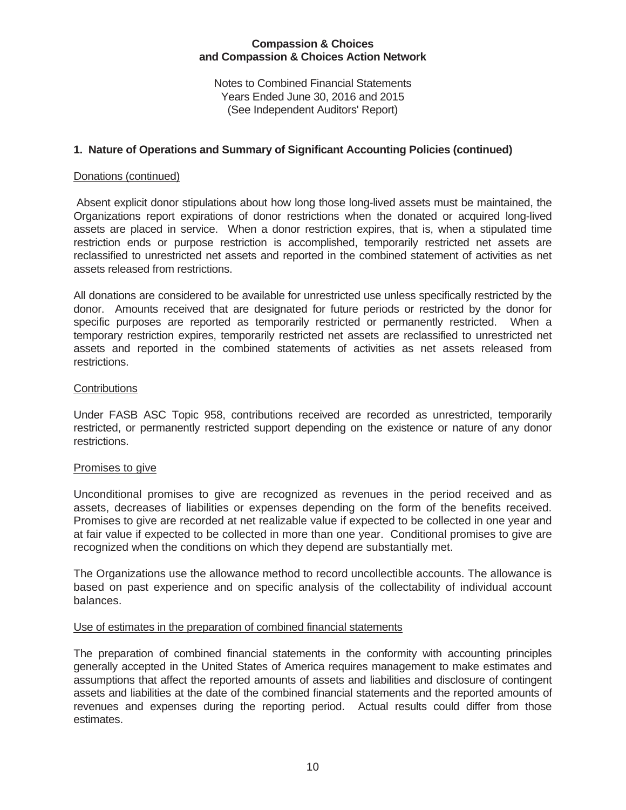Notes to Combined Financial Statements Years Ended June 30, 2016 and 2015 (See Independent Auditors' Report)

#### **1. Nature of Operations and Summary of Significant Accounting Policies (continued)**

#### Donations (continued)

 Absent explicit donor stipulations about how long those long-lived assets must be maintained, the Organizations report expirations of donor restrictions when the donated or acquired long-lived assets are placed in service. When a donor restriction expires, that is, when a stipulated time restriction ends or purpose restriction is accomplished, temporarily restricted net assets are reclassified to unrestricted net assets and reported in the combined statement of activities as net assets released from restrictions.

All donations are considered to be available for unrestricted use unless specifically restricted by the donor. Amounts received that are designated for future periods or restricted by the donor for specific purposes are reported as temporarily restricted or permanently restricted. When a temporary restriction expires, temporarily restricted net assets are reclassified to unrestricted net assets and reported in the combined statements of activities as net assets released from restrictions.

#### **Contributions**

Under FASB ASC Topic 958, contributions received are recorded as unrestricted, temporarily restricted, or permanently restricted support depending on the existence or nature of any donor restrictions.

#### Promises to give

Unconditional promises to give are recognized as revenues in the period received and as assets, decreases of liabilities or expenses depending on the form of the benefits received. Promises to give are recorded at net realizable value if expected to be collected in one year and at fair value if expected to be collected in more than one year. Conditional promises to give are recognized when the conditions on which they depend are substantially met.

The Organizations use the allowance method to record uncollectible accounts. The allowance is based on past experience and on specific analysis of the collectability of individual account balances.

#### Use of estimates in the preparation of combined financial statements

The preparation of combined financial statements in the conformity with accounting principles generally accepted in the United States of America requires management to make estimates and assumptions that affect the reported amounts of assets and liabilities and disclosure of contingent assets and liabilities at the date of the combined financial statements and the reported amounts of revenues and expenses during the reporting period. Actual results could differ from those estimates.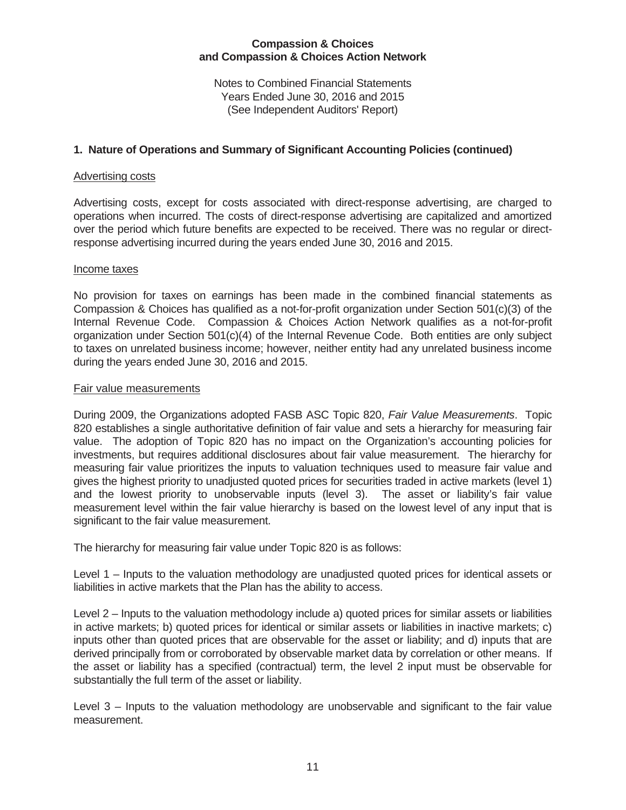Notes to Combined Financial Statements Years Ended June 30, 2016 and 2015 (See Independent Auditors' Report)

# **1. Nature of Operations and Summary of Significant Accounting Policies (continued)**

#### Advertising costs

Advertising costs, except for costs associated with direct-response advertising, are charged to operations when incurred. The costs of direct-response advertising are capitalized and amortized over the period which future benefits are expected to be received. There was no regular or directresponse advertising incurred during the years ended June 30, 2016 and 2015.

#### Income taxes

No provision for taxes on earnings has been made in the combined financial statements as Compassion & Choices has qualified as a not-for-profit organization under Section 501(c)(3) of the Internal Revenue Code. Compassion & Choices Action Network qualifies as a not-for-profit organization under Section 501(c)(4) of the Internal Revenue Code. Both entities are only subject to taxes on unrelated business income; however, neither entity had any unrelated business income during the years ended June 30, 2016 and 2015.

#### Fair value measurements

During 2009, the Organizations adopted FASB ASC Topic 820, *Fair Value Measurements*. Topic 820 establishes a single authoritative definition of fair value and sets a hierarchy for measuring fair value. The adoption of Topic 820 has no impact on the Organization's accounting policies for investments, but requires additional disclosures about fair value measurement. The hierarchy for measuring fair value prioritizes the inputs to valuation techniques used to measure fair value and gives the highest priority to unadjusted quoted prices for securities traded in active markets (level 1) and the lowest priority to unobservable inputs (level 3). The asset or liability's fair value measurement level within the fair value hierarchy is based on the lowest level of any input that is significant to the fair value measurement.

The hierarchy for measuring fair value under Topic 820 is as follows:

Level 1 – Inputs to the valuation methodology are unadjusted quoted prices for identical assets or liabilities in active markets that the Plan has the ability to access.

Level 2 – Inputs to the valuation methodology include a) quoted prices for similar assets or liabilities in active markets; b) quoted prices for identical or similar assets or liabilities in inactive markets; c) inputs other than quoted prices that are observable for the asset or liability; and d) inputs that are derived principally from or corroborated by observable market data by correlation or other means. If the asset or liability has a specified (contractual) term, the level 2 input must be observable for substantially the full term of the asset or liability.

Level 3 – Inputs to the valuation methodology are unobservable and significant to the fair value measurement.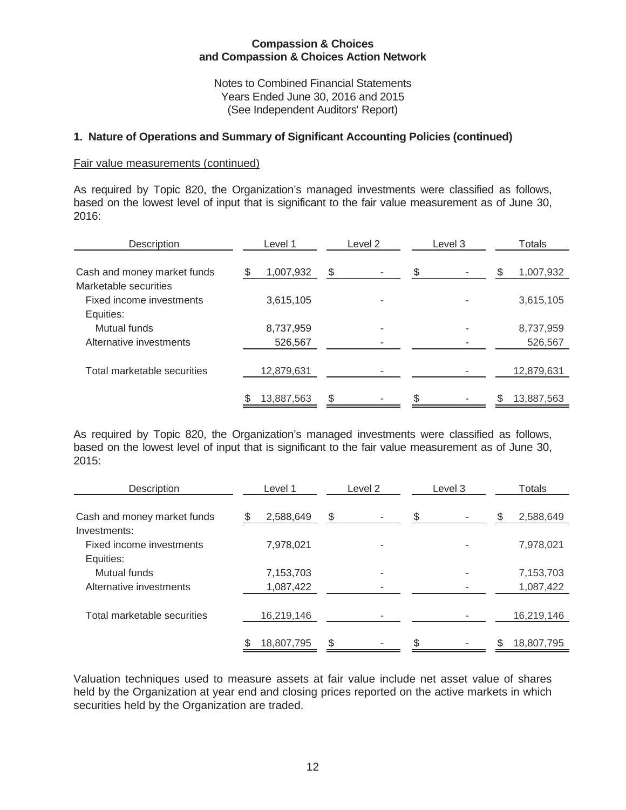Notes to Combined Financial Statements Years Ended June 30, 2016 and 2015 (See Independent Auditors' Report)

#### **1. Nature of Operations and Summary of Significant Accounting Policies (continued)**

#### Fair value measurements (continued)

As required by Topic 820, the Organization's managed investments were classified as follows, based on the lowest level of input that is significant to the fair value measurement as of June 30, 2016:

| Description                                                    | Level 1              | Level 2 | Level 3 | Totals               |
|----------------------------------------------------------------|----------------------|---------|---------|----------------------|
| Cash and money market funds                                    | 1,007,932            | \$      |         | 1,007,932<br>\$      |
| Marketable securities<br>Fixed income investments<br>Equities: | 3,615,105            |         |         | 3,615,105            |
| Mutual funds<br>Alternative investments                        | 8,737,959<br>526,567 | ۰       |         | 8,737,959<br>526,567 |
| Total marketable securities                                    | 12,879,631           |         |         | 12,879,631           |
|                                                                | 13,887,563           |         |         | 13,887,563<br>\$     |

As required by Topic 820, the Organization's managed investments were classified as follows, based on the lowest level of input that is significant to the fair value measurement as of June 30, 2015:

| Description                              | Level 1        | Level 2 | Level 3 | Totals         |  |  |  |
|------------------------------------------|----------------|---------|---------|----------------|--|--|--|
| Cash and money market funds              | 2,588,649<br>S | \$      |         | 2,588,649<br>S |  |  |  |
| Investments:<br>Fixed income investments | 7,978,021      |         |         | 7,978,021      |  |  |  |
| Equities:<br>Mutual funds                | 7,153,703      |         |         | 7,153,703      |  |  |  |
| Alternative investments                  | 1,087,422      |         |         | 1,087,422      |  |  |  |
| Total marketable securities              | 16,219,146     |         |         | 16,219,146     |  |  |  |
|                                          | 18,807,795     | \$      |         | 18,807,795     |  |  |  |

Valuation techniques used to measure assets at fair value include net asset value of shares held by the Organization at year end and closing prices reported on the active markets in which securities held by the Organization are traded.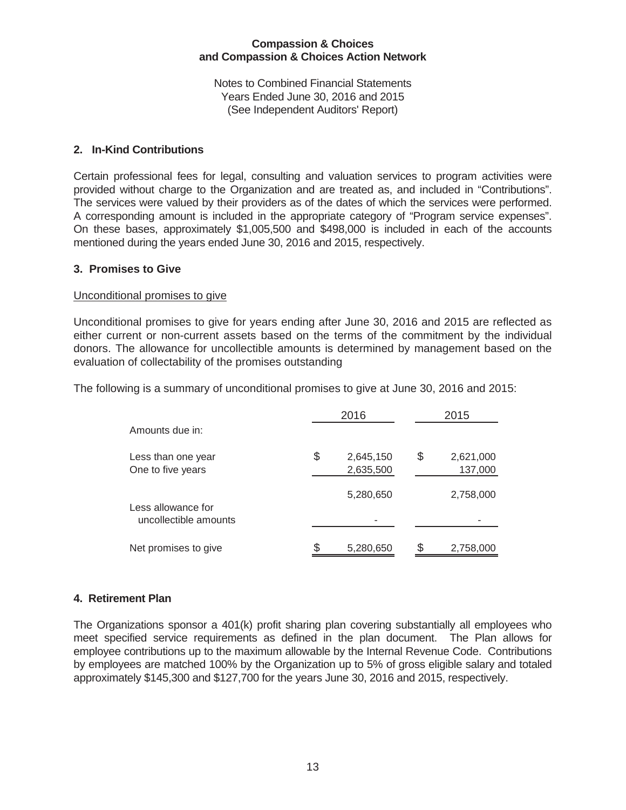Notes to Combined Financial Statements Years Ended June 30, 2016 and 2015 (See Independent Auditors' Report)

#### **2. In-Kind Contributions**

Certain professional fees for legal, consulting and valuation services to program activities were provided without charge to the Organization and are treated as, and included in "Contributions". The services were valued by their providers as of the dates of which the services were performed. A corresponding amount is included in the appropriate category of "Program service expenses". On these bases, approximately \$1,005,500 and \$498,000 is included in each of the accounts mentioned during the years ended June 30, 2016 and 2015, respectively.

#### **3. Promises to Give**

#### Unconditional promises to give

Unconditional promises to give for years ending after June 30, 2016 and 2015 are reflected as either current or non-current assets based on the terms of the commitment by the individual donors. The allowance for uncollectible amounts is determined by management based on the evaluation of collectability of the promises outstanding

The following is a summary of unconditional promises to give at June 30, 2016 and 2015:

|                                             | 2016                         | 2015 |                      |  |  |
|---------------------------------------------|------------------------------|------|----------------------|--|--|
| Amounts due in:                             |                              |      |                      |  |  |
| Less than one year<br>One to five years     | \$<br>2,645,150<br>2,635,500 | \$   | 2,621,000<br>137,000 |  |  |
| Less allowance for<br>uncollectible amounts | 5,280,650                    |      | 2,758,000            |  |  |
| Net promises to give                        | 5,280,650                    |      | 2,758,000            |  |  |

# **4. Retirement Plan**

The Organizations sponsor a 401(k) profit sharing plan covering substantially all employees who meet specified service requirements as defined in the plan document. The Plan allows for employee contributions up to the maximum allowable by the Internal Revenue Code. Contributions by employees are matched 100% by the Organization up to 5% of gross eligible salary and totaled approximately \$145,300 and \$127,700 for the years June 30, 2016 and 2015, respectively.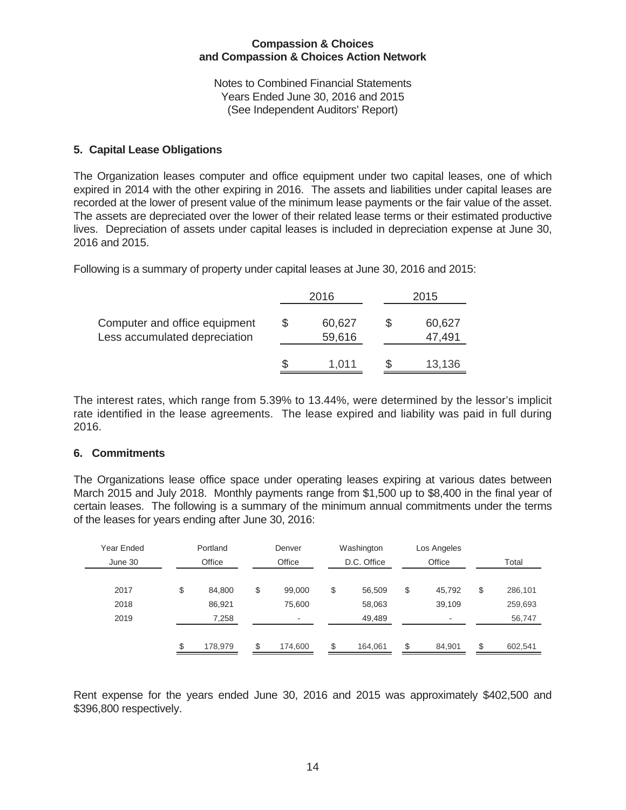Notes to Combined Financial Statements Years Ended June 30, 2016 and 2015 (See Independent Auditors' Report)

# **5. Capital Lease Obligations**

The Organization leases computer and office equipment under two capital leases, one of which expired in 2014 with the other expiring in 2016. The assets and liabilities under capital leases are recorded at the lower of present value of the minimum lease payments or the fair value of the asset. The assets are depreciated over the lower of their related lease terms or their estimated productive lives. Depreciation of assets under capital leases is included in depreciation expense at June 30, 2016 and 2015.

Following is a summary of property under capital leases at June 30, 2016 and 2015:

|                                                                     |  | 2016             | 2015 |                  |  |  |
|---------------------------------------------------------------------|--|------------------|------|------------------|--|--|
| Computer and office equipment<br>S<br>Less accumulated depreciation |  | 60,627<br>59,616 |      | 60,627<br>47,491 |  |  |
|                                                                     |  | 1,011            |      | 13,136           |  |  |

The interest rates, which range from 5.39% to 13.44%, were determined by the lessor's implicit rate identified in the lease agreements. The lease expired and liability was paid in full during 2016.

# **6. Commitments**

The Organizations lease office space under operating leases expiring at various dates between March 2015 and July 2018. Monthly payments range from \$1,500 up to \$8,400 in the final year of certain leases. The following is a summary of the minimum annual commitments under the terms of the leases for years ending after June 30, 2016:

| Year Ended | Portland |         |     |         |               | Denver                   | Washington    | Los Angeles |  |
|------------|----------|---------|-----|---------|---------------|--------------------------|---------------|-------------|--|
| June 30    |          | Office  |     | Office  | D.C. Office   | Office                   | Total         |             |  |
| 2017       | \$       | 84,800  | \$  | 99,000  | \$<br>56,509  | \$<br>45,792             | \$<br>286,101 |             |  |
| 2018       |          | 86,921  |     | 75,600  | 58,063        | 39,109                   | 259,693       |             |  |
| 2019       |          | 7,258   |     | ۰       | 49,489        | $\overline{\phantom{a}}$ | 56,747        |             |  |
|            | \$       | 178,979 | \$. | 174,600 | \$<br>164,061 | \$<br>84,901             | \$<br>602,541 |             |  |
|            |          |         |     |         |               |                          |               |             |  |

Rent expense for the years ended June 30, 2016 and 2015 was approximately \$402,500 and \$396,800 respectively.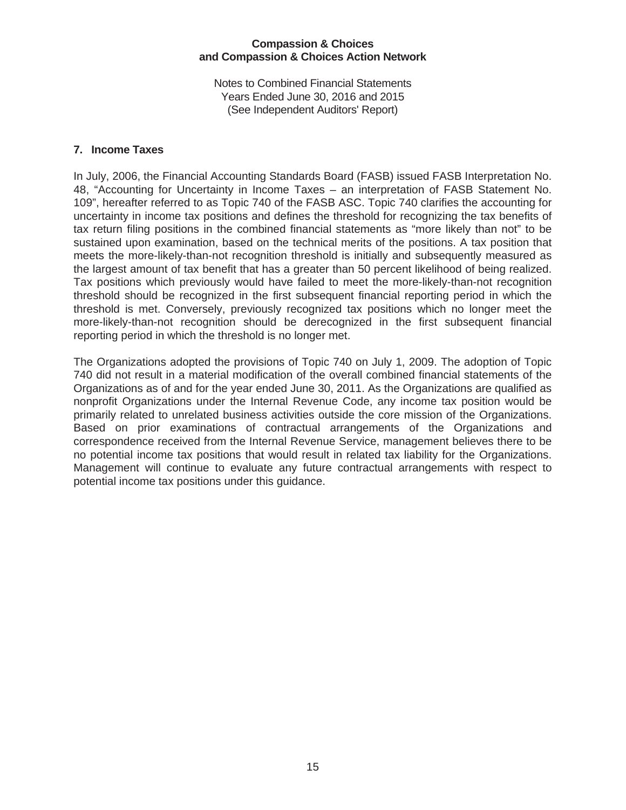Notes to Combined Financial Statements Years Ended June 30, 2016 and 2015 (See Independent Auditors' Report)

# **7. Income Taxes**

In July, 2006, the Financial Accounting Standards Board (FASB) issued FASB Interpretation No. 48, "Accounting for Uncertainty in Income Taxes – an interpretation of FASB Statement No. 109", hereafter referred to as Topic 740 of the FASB ASC. Topic 740 clarifies the accounting for uncertainty in income tax positions and defines the threshold for recognizing the tax benefits of tax return filing positions in the combined financial statements as "more likely than not" to be sustained upon examination, based on the technical merits of the positions. A tax position that meets the more-likely-than-not recognition threshold is initially and subsequently measured as the largest amount of tax benefit that has a greater than 50 percent likelihood of being realized. Tax positions which previously would have failed to meet the more-likely-than-not recognition threshold should be recognized in the first subsequent financial reporting period in which the threshold is met. Conversely, previously recognized tax positions which no longer meet the more-likely-than-not recognition should be derecognized in the first subsequent financial reporting period in which the threshold is no longer met.

The Organizations adopted the provisions of Topic 740 on July 1, 2009. The adoption of Topic 740 did not result in a material modification of the overall combined financial statements of the Organizations as of and for the year ended June 30, 2011. As the Organizations are qualified as nonprofit Organizations under the Internal Revenue Code, any income tax position would be primarily related to unrelated business activities outside the core mission of the Organizations. Based on prior examinations of contractual arrangements of the Organizations and correspondence received from the Internal Revenue Service, management believes there to be no potential income tax positions that would result in related tax liability for the Organizations. Management will continue to evaluate any future contractual arrangements with respect to potential income tax positions under this guidance.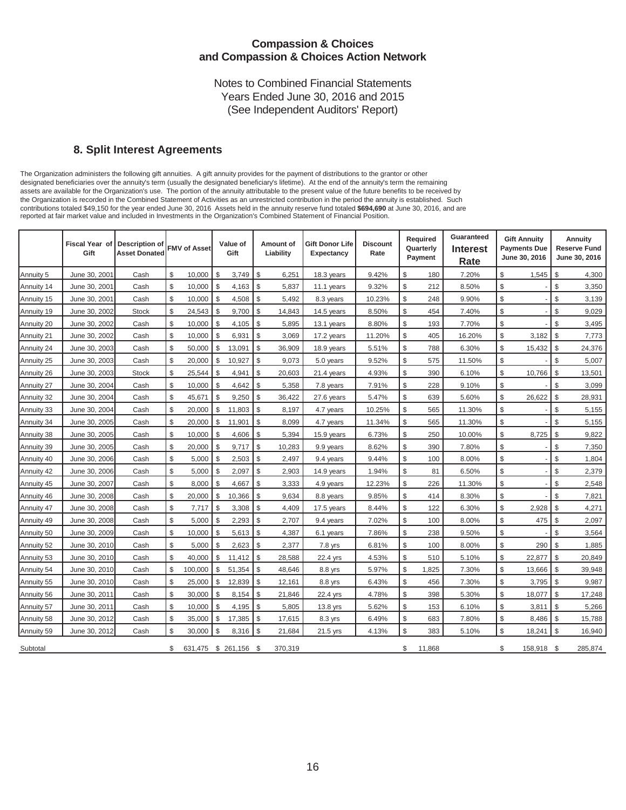Notes to Combined Financial Statements Years Ended June 30, 2016 and 2015 (See Independent Auditors' Report)

#### **8. Split Interest Agreements**

The Organization administers the following gift annuities. A gift annuity provides for the payment of distributions to the grantor or other designated beneficiaries over the annuity's term (usually the designated beneficiary's lifetime). At the end of the annuity's term the remaining assets are available for the Organization's use. The portion of the annuity attributable to the present value of the future benefits to be received by the Organization is recorded in the Combined Statement of Activities as an unrestricted contribution in the period the annuity is established. Such contributions totaled \$49,150 for the year ended June 30, 2016 Assets held in the annuity reserve fund totaled **\$694,690** at June 30, 2016, and are reported at fair market value and included in Investments in the Organization's Combined Statement of Financial Position.

|            | <b>Fiscal Year of</b><br>Gift | <b>Description of</b><br><b>Asset Donated</b> | <b>FMV of Asset</b>      |               | Value of<br>Gift |               | Amount of<br>Liability | <b>Gift Donor Life</b><br><b>Expectancy</b> | <b>Discount</b><br>Rate |                | Required<br>Quarterly<br>Payment | Guaranteed<br>Interest<br>Rate | <b>Gift Annuity</b><br><b>Payments Due</b><br>June 30, 2016 |               | Annuity<br>Reserve Fund<br>June 30, 2016 |
|------------|-------------------------------|-----------------------------------------------|--------------------------|---------------|------------------|---------------|------------------------|---------------------------------------------|-------------------------|----------------|----------------------------------|--------------------------------|-------------------------------------------------------------|---------------|------------------------------------------|
| Annuity 5  | June 30, 2001                 | Cash                                          | \$<br>10,000             | $\sqrt[6]{3}$ | 3,749            | \$            | 6,251                  | 18.3 years                                  | 9.42%                   | \$             | 180                              | 7.20%                          | \$<br>1,545                                                 | \$            | 4,300                                    |
| Annuity 14 | June 30, 2001                 | Cash                                          | \$<br>10,000             | $\mathbb S$   | 4,163            | $\sqrt{3}$    | 5,837                  | 11.1 years                                  | 9.32%                   | $$\mathbb{S}$$ | 212                              | 8.50%                          | \$                                                          | \$            | 3,350                                    |
| Annuity 15 | June 30, 2001                 | Cash                                          | \$<br>10,000             | $\mathbb{S}$  | 4,508            | $\mathfrak s$ | 5,492                  | 8.3 years                                   | 10.23%                  | $\mathbb{S}$   | 248                              | 9.90%                          | \$                                                          | \$            | 3,139                                    |
| Annuity 19 | June 30, 2002                 | <b>Stock</b>                                  | \$<br>24,543             | \$            | 9,700            | \$            | 14,843                 | 14.5 years                                  | 8.50%                   | $\mathbb{S}$   | 454                              | 7.40%                          | \$                                                          | \$            | 9,029                                    |
| Annuity 20 | June 30, 2002                 | Cash                                          | \$<br>10,000             | $\mathbb{S}$  | 4,105            | $\mathbb{S}$  | 5,895                  | 13.1 years                                  | 8.80%                   | $\mathbb{S}$   | 193                              | 7.70%                          | \$                                                          | \$            | 3,495                                    |
| Annuity 21 | June 30, 2002                 | Cash                                          | \$<br>10,000             | $\mathbb S$   | 6,931            | $\mathbb{S}$  | 3,069                  | 17.2 years                                  | 11.20%                  | $\mathbb{S}$   | 405                              | 16.20%                         | \$<br>3,182                                                 | $\mathbb{S}$  | 7,773                                    |
| Annuity 24 | June 30, 2003                 | Cash                                          | \$<br>50,000             | $\mathbb S$   | 13,091           | $\mathbb{S}$  | 36,909                 | 18.9 years                                  | 5.51%                   | $\mathbb{S}$   | 788                              | 6.30%                          | \$<br>15,432                                                | $\mathbb{S}$  | 24,376                                   |
| Annuity 25 | June 30, 2003                 | Cash                                          | \$<br>20,000             | $\mathbb{S}$  | 10,927           | $\mathbb{S}$  | 9,073                  | 5.0 years                                   | 9.52%                   | \$             | 575                              | 11.50%                         | \$                                                          | \$            | 5,007                                    |
| Annuity 26 | June 30, 2003                 | <b>Stock</b>                                  | \$<br>25,544             | l s           | 4,941            | $\mathbb{S}$  | 20,603                 | 21.4 years                                  | 4.93%                   | $\mathbb{S}$   | 390                              | 6.10%                          | \$<br>10,766                                                | $\mathbb{S}$  | 13,501                                   |
| Annuity 27 | June 30, 2004                 | Cash                                          | \$<br>10,000             | \$            | 4,642            | $\mathbb{S}$  | 5,358                  | 7.8 years                                   | 7.91%                   | \$             | 228                              | 9.10%                          | \$                                                          | \$            | 3,099                                    |
| Annuity 32 | June 30, 2004                 | Cash                                          | \$<br>45,671             | $\$$          | 9,250            | $\mathbb{S}$  | 36,422                 | 27.6 years                                  | 5.47%                   | $\mathbb{S}$   | 639                              | 5.60%                          | \$<br>26,622                                                | \$            | 28,931                                   |
| Annuity 33 | June 30, 2004                 | Cash                                          | \$<br>20,000             | $\mathbb{S}$  | 11,803           | $\mathfrak s$ | 8,197                  | 4.7 years                                   | 10.25%                  | \$             | 565                              | 11.30%                         | \$                                                          | \$            | 5,155                                    |
| Annuity 34 | June 30, 2005                 | Cash                                          | \$<br>20,000             | $\mathbb{S}$  | 11,901           | \$            | 8,099                  | 4.7 years                                   | 11.34%                  | \$             | 565                              | 11.30%                         | \$                                                          | \$            | 5,155                                    |
| Annuity 38 | June 30, 2005                 | Cash                                          | \$<br>10,000             | \$            | 4,606            | $\mathbb{S}$  | 5,394                  | 15.9 years                                  | 6.73%                   | $\mathbb{S}$   | 250                              | 10.00%                         | \$<br>8,725                                                 | $\mathbb{S}$  | 9,822                                    |
| Annuity 39 | June 30, 2005                 | Cash                                          | \$<br>20,000             | \$            | 9,717            | $\mathbb{S}$  | 10,283                 | 9.9 years                                   | 8.62%                   | $\mathbb{S}$   | 390                              | 7.80%                          | \$                                                          | \$            | 7,350                                    |
| Annuity 40 | June 30, 2006                 | Cash                                          | \$<br>5,000              | \$            | 2,503            | $\mathbb{S}$  | 2,497                  | 9.4 years                                   | 9.44%                   | $$\mathbb{S}$$ | 100                              | 8.00%                          | \$                                                          | \$            | 1,804                                    |
| Annuity 42 | June 30, 2006                 | Cash                                          | \$<br>5,000              | $\mathbb{S}$  | 2,097            | $\mathbb{S}$  | 2,903                  | 14.9 years                                  | 1.94%                   | $\mathbb{S}$   | 81                               | 6.50%                          | \$                                                          | \$            | 2,379                                    |
| Annuity 45 | June 30, 2007                 | Cash                                          | \$<br>8.000              | $\mathbb{S}$  | 4,667            | $\mathbb{S}$  | 3,333                  | 4.9 years                                   | 12.23%                  | $\mathbb{S}$   | 226                              | 11.30%                         | \$                                                          | \$            | 2,548                                    |
| Annuity 46 | June 30, 2008                 | Cash                                          | \$<br>20,000             | $\mathbb{S}$  | 10,366           | \$            | 9,634                  | 8.8 years                                   | 9.85%                   | $\mathbb{S}$   | 414                              | 8.30%                          | \$                                                          | \$            | 7,821                                    |
| Annuity 47 | June 30, 2008                 | Cash                                          | \$<br>7,717              | $\mathbb S$   | 3,308            | $\mathbb{S}$  | 4,409                  | 17.5 years                                  | 8.44%                   | $$\mathbb{S}$$ | 122                              | 6.30%                          | \$<br>2,928                                                 | \$            | 4,271                                    |
| Annuity 49 | June 30, 2008                 | Cash                                          | \$<br>5,000              | \$            | 2,293            | $\mathbb{S}$  | 2,707                  | 9.4 years                                   | 7.02%                   | $$\mathbb{S}$$ | 100                              | 8.00%                          | \$<br>475                                                   | \$            | 2,097                                    |
| Annuity 50 | June 30, 2009                 | Cash                                          | \$<br>10,000             | \$            | 5,613            | \$            | 4,387                  | 6.1 years                                   | 7.86%                   | \$             | 238                              | 9.50%                          | \$                                                          | \$            | 3,564                                    |
| Annuity 52 | June 30, 2010                 | Cash                                          | \$<br>5,000              | \$            | 2,623            | \$            | 2,377                  | 7.8 yrs                                     | 6.81%                   | $\mathbb{S}$   | 100                              | 8.00%                          | \$<br>290                                                   | \$            | 1,885                                    |
| Annuity 53 | June 30, 2010                 | Cash                                          | \$<br>40,000             | $\mathbb{S}$  | 11,412           | \$            | 28,588                 | 22.4 yrs                                    | 4.53%                   | \$             | 510                              | 5.10%                          | \$<br>22,877                                                | \$            | 20,849                                   |
| Annuity 54 | June 30, 2010                 | Cash                                          | \$<br>100,000            | $\mathbb S$   | 51,354           | $\mathbb{S}$  | 48,646                 | 8.8 yrs                                     | 5.97%                   | $\mathbb{S}$   | 1,825                            | 7.30%                          | \$<br>13,666                                                | $\mathbb{S}$  | 39,948                                   |
| Annuity 55 | June 30, 2010                 | Cash                                          | \$<br>25,000             | $\mathbb S$   | 12,839           | \$            | 12,161                 | 8.8 yrs                                     | 6.43%                   | $\mathbb{S}$   | 456                              | 7.30%                          | \$<br>3,795                                                 | $\mathbb{S}$  | 9,987                                    |
| Annuity 56 | June 30, 2011                 | Cash                                          | \$<br>30,000             | \$            | 8,154            | $\mathfrak s$ | 21,846                 | 22.4 yrs                                    | 4.78%                   | $\mathbb{S}$   | 398                              | 5.30%                          | \$<br>18,077                                                | \$            | 17,248                                   |
| Annuity 57 | June 30, 2011                 | Cash                                          | \$<br>10,000             | \$            | 4,195            | $\mathbb{S}$  | 5,805                  | 13.8 yrs                                    | 5.62%                   | $\mathbb{S}$   | 153                              | 6.10%                          | \$<br>3,811                                                 | $\mathbb{S}$  | 5,266                                    |
| Annuity 58 | June 30, 2012                 | Cash                                          | \$<br>35,000             | \$            | 17,385           | $\mathcal{L}$ | 17,615                 | 8.3 yrs                                     | 6.49%                   | $\mathbb{S}$   | 683                              | 7.80%                          | \$<br>8,486                                                 | $\mathfrak s$ | 15,788                                   |
| Annuity 59 | June 30, 2012                 | Cash                                          | \$<br>30,000             | $\mathbb S$   | 8,316            | l \$          | 21,684                 | 21.5 yrs                                    | 4.13%                   | $\mathbb{S}$   | 383                              | 5.10%                          | \$<br>18,241                                                | $\mathbb{S}$  | 16,940                                   |
| Subtotal   |                               |                                               | \$<br>631,475 \$ 261,156 |               |                  | - \$          | 370,319                |                                             |                         | \$             | 11,868                           |                                | \$<br>158,918                                               | - \$          | 285,874                                  |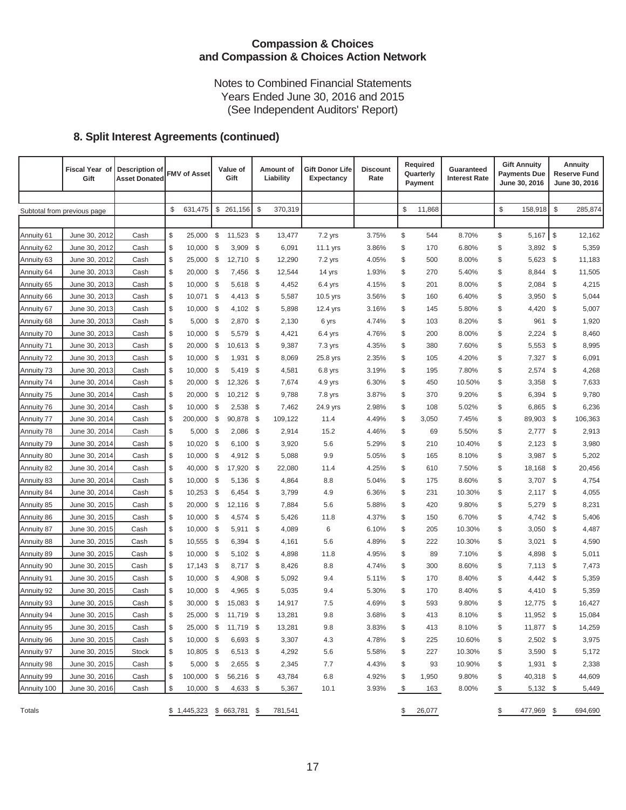Notes to Combined Financial Statements Years Ended June 30, 2016 and 2015 (See Independent Auditors' Report)

# **8. Split Interest Agreements (continued)**

|             | Fiscal Year of<br>Gift      | <b>Description of</b><br><b>Asset Donated</b> | <b>FMV of Asset</b>         |      | Value of<br>Gift    |              | Amount of<br>Liability | <b>Gift Donor Life</b><br><b>Expectancy</b> | <b>Discount</b><br>Rate |              | Required<br>Quarterly<br>Payment | Guaranteed<br><b>Interest Rate</b> |              | <b>Gift Annuity</b><br><b>Payments Due</b><br>June 30, 2016 |              | <b>Annuity</b><br><b>Reserve Fund</b><br>June 30, 2016 |
|-------------|-----------------------------|-----------------------------------------------|-----------------------------|------|---------------------|--------------|------------------------|---------------------------------------------|-------------------------|--------------|----------------------------------|------------------------------------|--------------|-------------------------------------------------------------|--------------|--------------------------------------------------------|
|             |                             |                                               |                             |      |                     |              |                        |                                             |                         |              |                                  |                                    |              |                                                             |              |                                                        |
|             | Subtotal from previous page |                                               | \$<br>631,475               | \$   | 261,156             | $\mathbb{S}$ | 370,319                |                                             |                         | \$           | 11,868                           |                                    | $\mathbb{S}$ | 158,918                                                     | $\mathbb{S}$ | 285,874                                                |
|             |                             |                                               |                             |      |                     |              |                        |                                             |                         |              |                                  |                                    |              |                                                             |              |                                                        |
| Annuity 61  | June 30, 2012               | Cash                                          | \$<br>25,000                | \$   | 11,523 \$           |              | 13,477                 | 7.2 yrs                                     | 3.75%                   | \$           | 544                              | 8.70%                              | \$           | $5,167$ \$                                                  |              | 12,162                                                 |
| Annuity 62  | June 30, 2012               | Cash                                          | \$<br>10,000                | \$   | 3,909               | - \$         | 6,091                  | 11.1 yrs                                    | 3.86%                   | \$           | 170                              | 6.80%                              | \$           | 3,892 \$                                                    |              | 5,359                                                  |
| Annuity 63  | June 30, 2012               | Cash                                          | \$<br>25,000                | - \$ | 12,710              | - \$         | 12,290                 | 7.2 yrs                                     | 4.05%                   | \$           | 500                              | 8.00%                              | \$           | 5,623 \$                                                    |              | 11,183                                                 |
| Annuity 64  | June 30, 2013               | Cash                                          | \$<br>20,000                | \$   | 7,456               | - \$         | 12,544                 | 14 yrs                                      | 1.93%                   | \$           | 270                              | 5.40%                              | \$           | 8,844                                                       | - \$         | 11,505                                                 |
| Annuity 65  | June 30, 2013               | Cash                                          | \$<br>10,000                | \$   | 5,618               | - \$         | 4,452                  | $6.4$ yrs                                   | 4.15%                   | \$           | 201                              | 8.00%                              | \$           | 2,084                                                       | - \$         | 4,215                                                  |
| Annuity 66  | June 30, 2013               | Cash                                          | \$<br>10,071                | \$   | $4,413$ \$          |              | 5,587                  | 10.5 yrs                                    | 3.56%                   | \$           | 160                              | 6.40%                              | \$           | 3,950                                                       | - \$         | 5,044                                                  |
| Annuity 67  | June 30, 2013               | Cash                                          | \$<br>10,000                | \$   | $4,102$ \$          |              | 5,898                  | 12.4 yrs                                    | 3.16%                   | \$           | 145                              | 5.80%                              | \$           | 4,420                                                       | - \$         | 5,007                                                  |
| Annuity 68  | June 30, 2013               | Cash                                          | \$<br>5,000                 | \$   | 2,870 \$            |              | 2,130                  | 6 yrs                                       | 4.74%                   | \$           | 103                              | 8.20%                              | \$           | 961                                                         | -\$          | 1,920                                                  |
| Annuity 70  | June 30, 2013               | Cash                                          | \$<br>10,000                | \$   | 5,579               | - \$         | 4,421                  | $6.4$ yrs                                   | 4.76%                   | \$           | 200                              | 8.00%                              | \$           | 2,224                                                       | - \$         | 8,460                                                  |
| Annuity 71  | June 30, 2013               | Cash                                          | \$<br>20,000                | - \$ | $10,613$ \$         |              | 9,387                  | 7.3 yrs                                     | 4.35%                   | \$           | 380                              | 7.60%                              | \$           | 5,553                                                       | - \$         | 8,995                                                  |
| Annuity 72  | June 30, 2013               | Cash                                          | \$<br>10,000                | \$   | $1,931$ \$          |              | 8,069                  | 25.8 yrs                                    | 2.35%                   | \$           | 105                              | 4.20%                              | \$           | 7,327                                                       | - \$         | 6,091                                                  |
| Annuity 73  | June 30, 2013               | Cash                                          | \$<br>10,000                | \$   | 5,419               | - \$         | 4,581                  | $6.8$ yrs                                   | 3.19%                   | \$           | 195                              | 7.80%                              | \$           | 2,574                                                       | - \$         | 4,268                                                  |
| Annuity 74  | June 30, 2014               | Cash                                          | \$<br>20,000                | \$   | 12,326              | - \$         | 7,674                  | $4.9$ yrs                                   | 6.30%                   | \$           | 450                              | 10.50%                             | \$           | 3,358                                                       | - \$         | 7,633                                                  |
| Annuity 75  | June 30, 2014               | Cash                                          | \$<br>20,000                | \$   | $10,212$ \$         |              | 9,788                  | 7.8 yrs                                     | 3.87%                   | \$           | 370                              | 9.20%                              | \$           | 6,394                                                       | - \$         | 9,780                                                  |
| Annuity 76  | June 30, 2014               | Cash                                          | \$<br>10,000                | \$   | 2,538               | - \$         | 7,462                  | 24.9 yrs                                    | 2.98%                   | \$           | 108                              | 5.02%                              | \$           | 6,865                                                       | - \$         | 6,236                                                  |
| Annuity 77  | June 30, 2014               | Cash                                          | \$<br>200.000               | \$   | 90,878              | - \$         | 109,122                | 11.4                                        | 4.49%                   | \$           | 3,050                            | 7.45%                              | \$           | 89,903                                                      | - \$         | 106,363                                                |
| Annuity 78  | June 30, 2014               | Cash                                          | \$<br>5,000                 | \$   | 2,086               | - \$         | 2,914                  | 15.2                                        | 4.46%                   | \$           | 69                               | 5.50%                              | \$           | $2,777$ \$                                                  |              | 2,913                                                  |
| Annuity 79  | June 30, 2014               | Cash                                          | \$<br>10,020                | \$   | $6,100$ \$          |              | 3,920                  | 5.6                                         | 5.29%                   | \$           | 210                              | 10.40%                             | \$           | 2,123                                                       | - \$         | 3,980                                                  |
| Annuity 80  | June 30, 2014               | Cash                                          | \$<br>10,000                | \$   | 4,912 \$            |              | 5,088                  | 9.9                                         | 5.05%                   | \$           | 165                              | 8.10%                              | \$           | 3,987                                                       | - \$         | 5,202                                                  |
| Annuity 82  | June 30, 2014               | Cash                                          | \$<br>40,000                | - \$ | 17,920 \$           |              | 22,080                 | 11.4                                        | 4.25%                   | \$           | 610                              | 7.50%                              | \$           | 18,168                                                      | - \$         | 20,456                                                 |
| Annuity 83  | June 30, 2014               | Cash                                          | \$<br>10,000                | \$   | 5,136               | - \$         | 4,864                  | 8.8                                         | 5.04%                   | \$           | 175                              | 8.60%                              | \$           | 3,707                                                       | - \$         | 4,754                                                  |
| Annuity 84  | June 30, 2014               | Cash                                          | \$<br>10,253                | \$   | 6,454               | - \$         | 3,799                  | 4.9                                         | 6.36%                   | \$           | 231                              | 10.30%                             | \$           | $2,117$ \$                                                  |              | 4,055                                                  |
| Annuity 85  | June 30, 2015               | Cash                                          | \$<br>20,000                | - \$ | 12,116              | - \$         | 7,884                  | 5.6                                         | 5.88%                   | \$           | 420                              | 9.80%                              | \$           | 5,279                                                       | - \$         | 8,231                                                  |
| Annuity 86  | June 30, 2015               | Cash                                          | \$<br>10,000                | \$   | 4,574               | - \$         | 5,426                  | 11.8                                        | 4.37%                   | \$           | 150                              | 6.70%                              | \$           | 4,742 \$                                                    |              | 5,406                                                  |
| Annuity 87  | June 30, 2015               | Cash                                          | \$<br>10,000                | - \$ | $5,911$ \$          |              | 4,089                  | 6                                           | 6.10%                   | \$           | 205                              | 10.30%                             | \$           | $3,050$ \$                                                  |              | 4,487                                                  |
| Annuity 88  | June 30, 2015               | Cash                                          | \$<br>10,555                | -\$  | 6,394               | - \$         | 4,161                  | 5.6                                         | 4.89%                   | \$           | 222                              | 10.30%                             | \$           | 3,021                                                       | - \$         | 4,590                                                  |
| Annuity 89  | June 30, 2015               | Cash                                          | \$<br>10,000                | \$   | $5,102$ \$          |              | 4,898                  | 11.8                                        | 4.95%                   | \$           | 89                               | 7.10%                              | \$           | 4,898                                                       | - \$         | 5,011                                                  |
| Annuity 90  | June 30, 2015               | Cash                                          | \$<br>17,143                | - \$ | 8,717 \$            |              | 8,426                  | 8.8                                         | 4.74%                   | \$           | 300                              | 8.60%                              | \$           | 7,113                                                       | - \$         | 7,473                                                  |
| Annuity 91  | June 30, 2015               | Cash                                          | \$<br>10,000                | - \$ | 4,908               | - \$         | 5,092                  | 9.4                                         | 5.11%                   | \$           | 170                              | 8.40%                              | \$           | 4,442 \$                                                    |              | 5,359                                                  |
| Annuity 92  | June 30, 2015               | Cash                                          | \$<br>10,000                | \$   | 4,965               | - \$         | 5,035                  | 9.4                                         | 5.30%                   | \$           | 170                              | 8.40%                              | \$           | 4,410                                                       | - \$         | 5,359                                                  |
| Annuity 93  | June 30, 2015               | Cash                                          | \$<br>30,000 \$             |      | 15,083 \$           |              | 14,917                 | 7.5                                         | 4.69%                   | \$           | 593                              | 9.80%                              | \$           | 12,775 \$                                                   |              | 16,427                                                 |
| Annuity 94  | June 30, 2015               | Cash                                          | \$                          |      | 25,000 \$ 11,719 \$ |              | 13,281                 | 9.8                                         | 3.68%                   | \$           | 413                              | 8.10%                              | \$           | 11,952 \$                                                   |              | 15,084                                                 |
| Annuity 95  | June 30, 2015               | Cash                                          | \$<br>25,000 \$             |      | 11,719 \$           |              | 13,281                 | 9.8                                         | 3.83%                   | \$           | 413                              | 8.10%                              | \$           | 11,877 \$                                                   |              | 14,259                                                 |
| Annuity 96  | June 30, 2015               | Cash                                          | \$<br>$10,000$ \$           |      | 6,693 \$            |              | 3,307                  | 4.3                                         | 4.78%                   | \$           | 225                              | 10.60%                             | \$           | $2,502$ \$                                                  |              | 3,975                                                  |
| Annuity 97  | June 30, 2015               | <b>Stock</b>                                  | \$<br>$10,805$ \$           |      | $6,513$ \$          |              | 4,292                  | 5.6                                         | 5.58%                   | \$           | 227                              | 10.30%                             | \$           | $3,590$ \$                                                  |              | 5,172                                                  |
| Annuity 98  | June 30, 2015               | Cash                                          | \$<br>$5,000$ \$            |      | $2,655$ \$          |              | 2,345                  | 7.7                                         | 4.43%                   | \$           | 93                               | 10.90%                             | \$           | $1,931$ \$                                                  |              | 2,338                                                  |
| Annuity 99  | June 30, 2016               | Cash                                          | \$<br>100,000 \$            |      | 56,216 \$           |              | 43,784                 | 6.8                                         | 4.92%                   | \$           | 1,950                            | 9.80%                              | \$           | 40,318 \$                                                   |              | 44,609                                                 |
| Annuity 100 | June 30, 2016               | Cash                                          | \$<br>$10,000$ \$           |      | $4,633$ \$          |              | 5,367                  | 10.1                                        | 3.93%                   | \$           | 163                              | 8.00%                              | \$           | $5,132$ \$                                                  |              | 5,449                                                  |
|             |                             |                                               |                             |      |                     |              |                        |                                             |                         |              |                                  |                                    |              |                                                             |              |                                                        |
| Totals      |                             |                                               | $$1,445,323$ $$663,781$ $$$ |      |                     |              | 781,541                |                                             |                         | $\mathbb{S}$ | 26,077                           |                                    | \$           | 477,969 \$                                                  |              | 694,690                                                |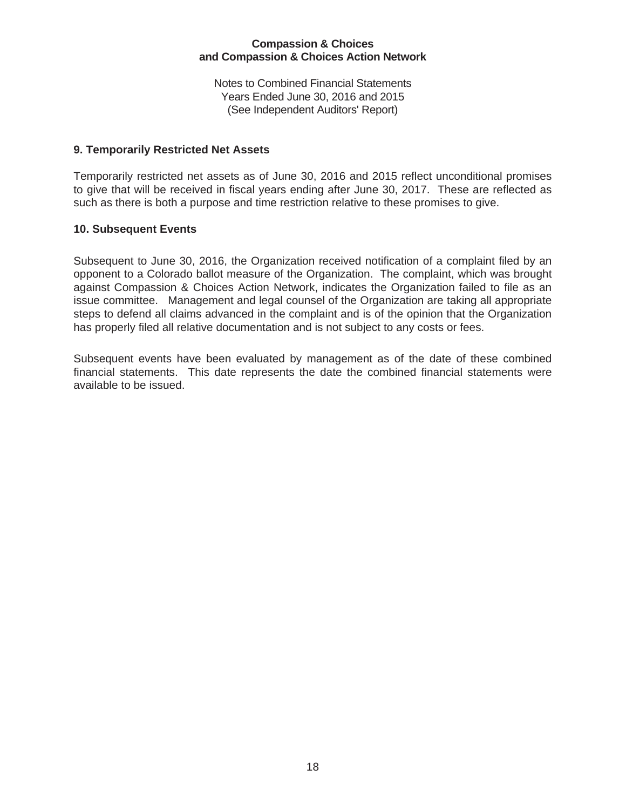Notes to Combined Financial Statements Years Ended June 30, 2016 and 2015 (See Independent Auditors' Report)

#### **9. Temporarily Restricted Net Assets**

Temporarily restricted net assets as of June 30, 2016 and 2015 reflect unconditional promises to give that will be received in fiscal years ending after June 30, 2017. These are reflected as such as there is both a purpose and time restriction relative to these promises to give.

#### **10. Subsequent Events**

Subsequent to June 30, 2016, the Organization received notification of a complaint filed by an opponent to a Colorado ballot measure of the Organization. The complaint, which was brought against Compassion & Choices Action Network, indicates the Organization failed to file as an issue committee. Management and legal counsel of the Organization are taking all appropriate steps to defend all claims advanced in the complaint and is of the opinion that the Organization has properly filed all relative documentation and is not subject to any costs or fees.

Subsequent events have been evaluated by management as of the date of these combined financial statements. This date represents the date the combined financial statements were available to be issued.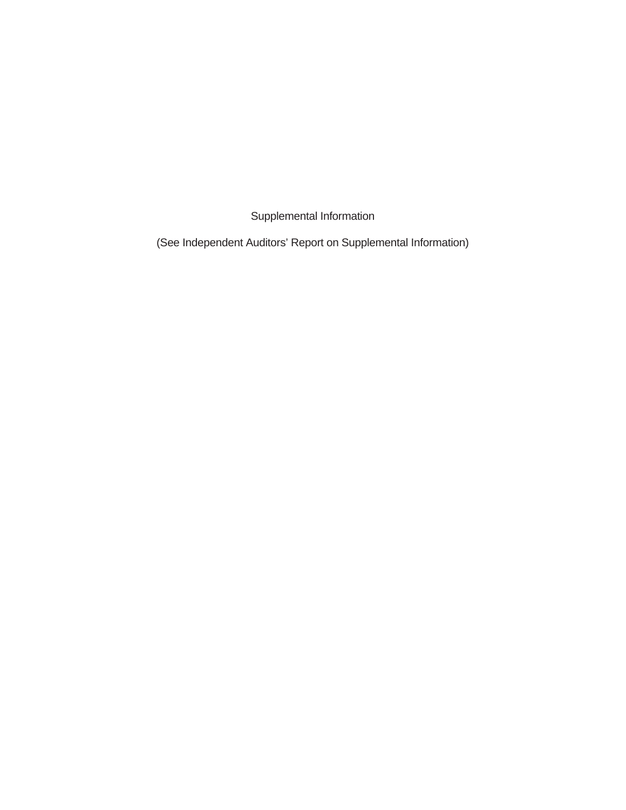Supplemental Information

(See Independent Auditors' Report on Supplemental Information)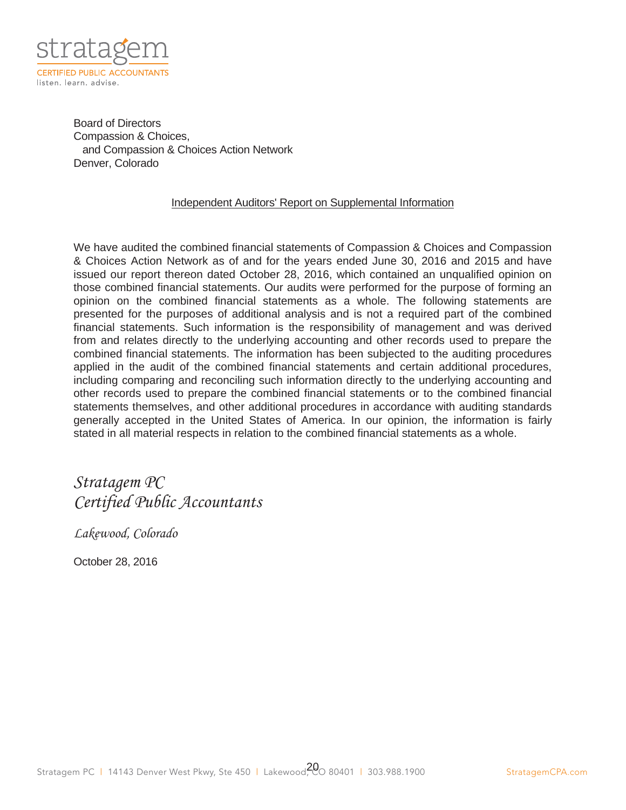

Board of Directors Compassion & Choices, and Compassion & Choices Action Network Denver, Colorado

#### Independent Auditors' Report on Supplemental Information

We have audited the combined financial statements of Compassion & Choices and Compassion & Choices Action Network as of and for the years ended June 30, 2016 and 2015 and have issued our report thereon dated October 28, 2016, which contained an unqualified opinion on those combined financial statements. Our audits were performed for the purpose of forming an opinion on the combined financial statements as a whole. The following statements are presented for the purposes of additional analysis and is not a required part of the combined financial statements. Such information is the responsibility of management and was derived from and relates directly to the underlying accounting and other records used to prepare the combined financial statements. The information has been subjected to the auditing procedures applied in the audit of the combined financial statements and certain additional procedures, including comparing and reconciling such information directly to the underlying accounting and other records used to prepare the combined financial statements or to the combined financial statements themselves, and other additional procedures in accordance with auditing standards generally accepted in the United States of America. In our opinion, the information is fairly stated in all material respects in relation to the combined financial statements as a whole.

# Stratagem PC Certified Public Accountants

Lakewood, Colorado

October 28, 2016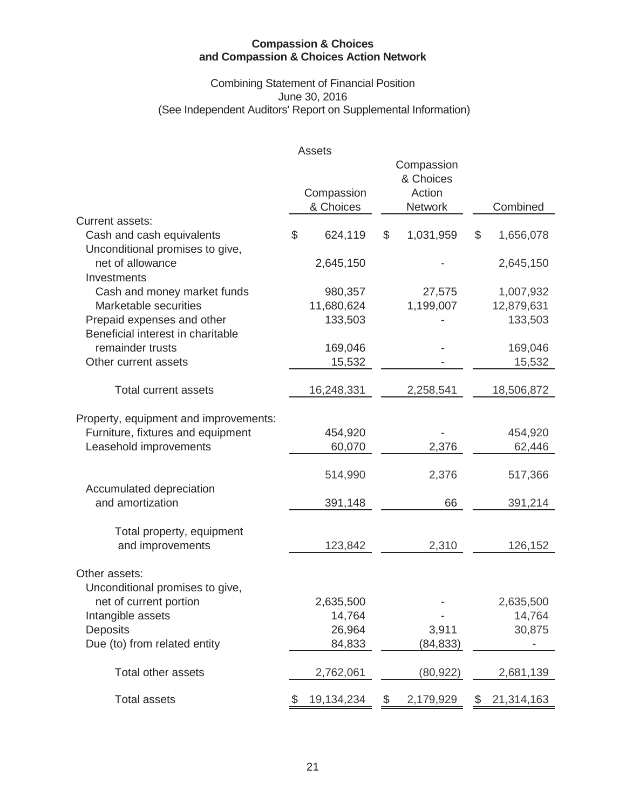# Combining Statement of Financial Position June 30, 2016 (See Independent Auditors' Report on Supplemental Information)

|                                       | Assets           |                 |                  |
|---------------------------------------|------------------|-----------------|------------------|
|                                       |                  | Compassion      |                  |
|                                       |                  | & Choices       |                  |
|                                       | Compassion       | Action          |                  |
|                                       | & Choices        | <b>Network</b>  | Combined         |
| <b>Current assets:</b>                |                  |                 |                  |
| Cash and cash equivalents             | \$<br>624,119    | \$<br>1,031,959 | \$<br>1,656,078  |
| Unconditional promises to give,       |                  |                 |                  |
| net of allowance                      | 2,645,150        |                 | 2,645,150        |
| Investments                           |                  |                 |                  |
| Cash and money market funds           | 980,357          | 27,575          | 1,007,932        |
| Marketable securities                 | 11,680,624       | 1,199,007       | 12,879,631       |
| Prepaid expenses and other            | 133,503          |                 | 133,503          |
| Beneficial interest in charitable     |                  |                 |                  |
| remainder trusts                      | 169,046          |                 | 169,046          |
| Other current assets                  | 15,532           |                 | 15,532           |
|                                       |                  |                 |                  |
| <b>Total current assets</b>           | 16,248,331       | 2,258,541       | 18,506,872       |
| Property, equipment and improvements: |                  |                 |                  |
| Furniture, fixtures and equipment     | 454,920          |                 | 454,920          |
| Leasehold improvements                | 60,070           | 2,376           | 62,446           |
|                                       |                  |                 |                  |
|                                       | 514,990          | 2,376           | 517,366          |
| Accumulated depreciation              |                  |                 |                  |
| and amortization                      | 391,148          | 66              | 391,214          |
|                                       |                  |                 |                  |
| Total property, equipment             |                  |                 |                  |
| and improvements                      | 123,842          | 2,310           | 126,152          |
| Other assets:                         |                  |                 |                  |
| Unconditional promises to give,       |                  |                 |                  |
| net of current portion                | 2,635,500        |                 | 2,635,500        |
| Intangible assets                     | 14,764           |                 | 14,764           |
| <b>Deposits</b>                       | 26,964           | 3,911           | 30,875           |
| Due (to) from related entity          | 84,833           | (84, 833)       |                  |
|                                       |                  |                 |                  |
| Total other assets                    | 2,762,061        | (80, 922)       | 2,681,139        |
|                                       |                  |                 |                  |
| <b>Total assets</b>                   | \$<br>19,134,234 | \$<br>2,179,929 | \$<br>21,314,163 |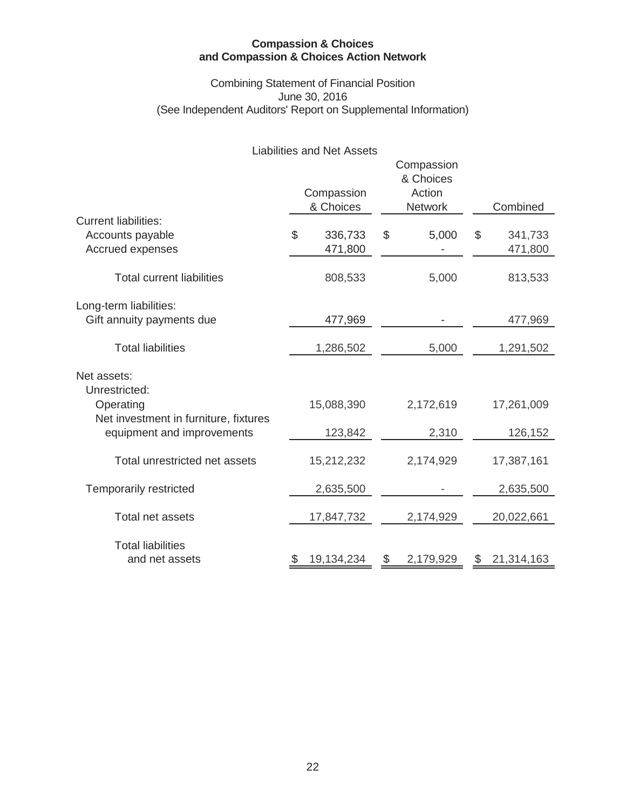# Combining Statement of Financial Position June 30, 2016 (See Independent Auditors' Report on Supplemental Information)

# Liabilities and Net Assets

|                                                                     | Compassion<br>& Choices | Combined        |    |            |
|---------------------------------------------------------------------|-------------------------|-----------------|----|------------|
| <b>Current liabilities:</b>                                         |                         |                 |    |            |
| Accounts payable                                                    | \$<br>336,733           | \$<br>5,000     | \$ | 341,733    |
| Accrued expenses                                                    | 471,800                 |                 |    | 471,800    |
| <b>Total current liabilities</b>                                    | 808,533                 | 5,000           |    | 813,533    |
| Long-term liabilities:                                              |                         |                 |    |            |
| Gift annuity payments due                                           | 477,969                 |                 |    | 477,969    |
| <b>Total liabilities</b>                                            | 1,286,502               | 5,000           |    | 1,291,502  |
| Net assets:<br>Unrestricted:                                        |                         |                 |    |            |
| Operating                                                           | 15,088,390              | 2,172,619       |    | 17,261,009 |
| Net investment in furniture, fixtures<br>equipment and improvements | 123,842                 | 2,310           |    | 126,152    |
| Total unrestricted net assets                                       | 15,212,232              | 2,174,929       |    | 17,387,161 |
| <b>Temporarily restricted</b>                                       | 2,635,500               |                 |    | 2,635,500  |
| Total net assets                                                    | 17,847,732              | 2,174,929       |    | 20,022,661 |
| <b>Total liabilities</b><br>and net assets                          | 19,134,234              | \$<br>2,179,929 | \$ | 21,314,163 |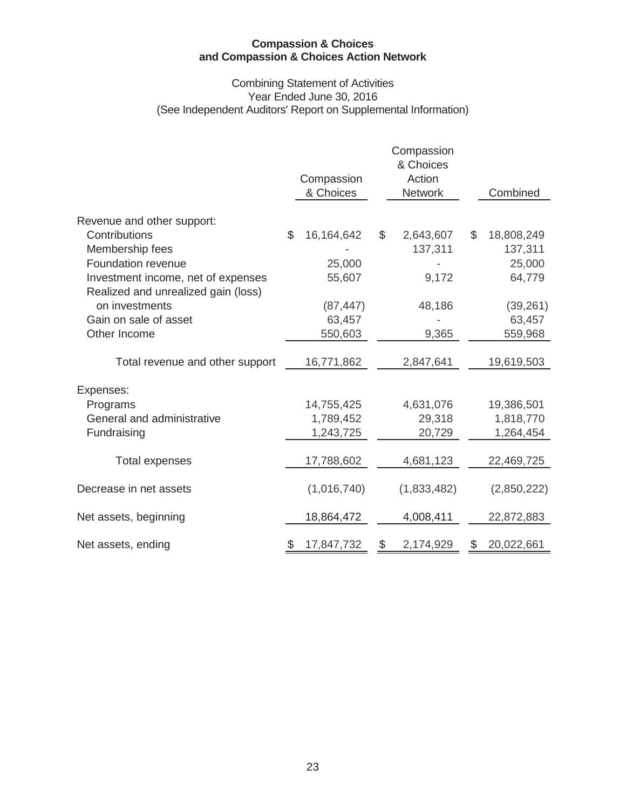#### Combining Statement of Activities Year Ended June 30, 2016 (See Independent Auditors' Report on Supplemental Information)

|                                                                           |               | Compassion   | Compassion<br>& Choices<br>Action |                |             |
|---------------------------------------------------------------------------|---------------|--------------|-----------------------------------|----------------|-------------|
|                                                                           |               | & Choices    | <b>Network</b>                    |                | Combined    |
| Revenue and other support:                                                |               |              |                                   |                |             |
| Contributions                                                             | $\mathcal{L}$ | 16, 164, 642 | \$<br>2,643,607                   | $\mathfrak{L}$ | 18,808,249  |
| Membership fees                                                           |               |              | 137,311                           |                | 137,311     |
| Foundation revenue                                                        |               | 25,000       |                                   |                | 25,000      |
| Investment income, net of expenses<br>Realized and unrealized gain (loss) |               | 55,607       | 9,172                             |                | 64,779      |
| on investments                                                            |               | (87, 447)    | 48,186                            |                | (39, 261)   |
| Gain on sale of asset                                                     |               | 63,457       |                                   |                | 63,457      |
| Other Income                                                              |               | 550,603      | 9,365                             |                | 559,968     |
|                                                                           |               |              |                                   |                |             |
| Total revenue and other support                                           |               | 16,771,862   | 2,847,641                         |                | 19,619,503  |
|                                                                           |               |              |                                   |                |             |
| Expenses:                                                                 |               |              |                                   |                |             |
| Programs                                                                  |               | 14,755,425   | 4,631,076                         |                | 19,386,501  |
| General and administrative                                                |               | 1,789,452    | 29,318                            |                | 1,818,770   |
| Fundraising                                                               |               | 1,243,725    | 20,729                            |                | 1,264,454   |
| <b>Total expenses</b>                                                     |               | 17,788,602   | 4,681,123                         |                | 22,469,725  |
| Decrease in net assets                                                    |               | (1,016,740)  | (1,833,482)                       |                | (2,850,222) |
| Net assets, beginning                                                     |               | 18,864,472   | 4,008,411                         |                | 22,872,883  |
| Net assets, ending                                                        |               | 17,847,732   | 2,174,929                         |                | 20,022,661  |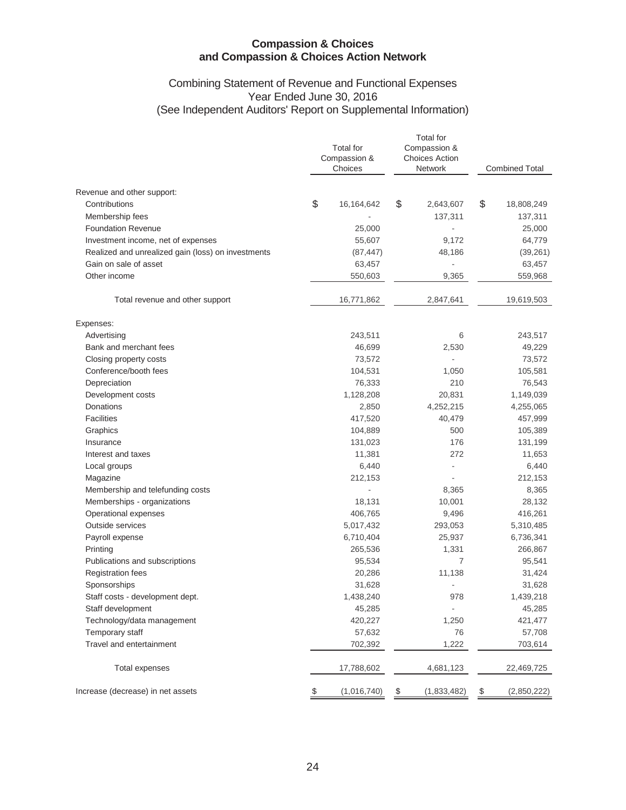#### Combining Statement of Revenue and Functional Expenses Year Ended June 30, 2016 (See Independent Auditors' Report on Supplemental Information)

|                                                    | <b>Total for</b><br>Compassion &<br>Choices |                    |               | <b>Total</b> for<br>Compassion &<br><b>Choices Action</b><br>Network |               | <b>Combined Total</b> |  |
|----------------------------------------------------|---------------------------------------------|--------------------|---------------|----------------------------------------------------------------------|---------------|-----------------------|--|
| Revenue and other support:                         |                                             |                    |               |                                                                      |               |                       |  |
| Contributions                                      | \$                                          | 16,164,642         | \$            | 2,643,607                                                            | \$            | 18,808,249            |  |
| Membership fees                                    |                                             |                    |               | 137,311                                                              |               | 137,311               |  |
| <b>Foundation Revenue</b>                          |                                             | 25,000             |               |                                                                      |               | 25,000                |  |
| Investment income, net of expenses                 |                                             | 55,607             |               | 9,172                                                                |               | 64,779                |  |
| Realized and unrealized gain (loss) on investments |                                             | (87, 447)          |               | 48,186                                                               |               | (39, 261)             |  |
| Gain on sale of asset                              |                                             | 63,457             |               |                                                                      |               | 63,457                |  |
| Other income                                       |                                             | 550,603            |               | 9,365                                                                |               | 559,968               |  |
| Total revenue and other support                    |                                             | 16,771,862         |               | 2,847,641                                                            |               | 19,619,503            |  |
| Expenses:                                          |                                             |                    |               |                                                                      |               |                       |  |
| Advertising                                        |                                             | 243,511            |               | 6                                                                    |               | 243,517               |  |
| Bank and merchant fees                             |                                             | 46,699             |               | 2,530                                                                |               | 49,229                |  |
| Closing property costs                             |                                             | 73,572             |               |                                                                      |               | 73,572                |  |
| Conference/booth fees                              |                                             | 104,531            |               | 1,050                                                                |               | 105,581               |  |
| Depreciation                                       |                                             | 76,333             |               | 210                                                                  |               | 76,543                |  |
| Development costs                                  |                                             | 1,128,208          |               | 20,831                                                               |               | 1,149,039             |  |
| Donations<br><b>Facilities</b>                     |                                             | 2,850              |               | 4,252,215                                                            |               | 4,255,065             |  |
|                                                    |                                             | 417,520            |               | 40,479<br>500                                                        |               | 457,999               |  |
| Graphics<br>Insurance                              |                                             | 104,889<br>131,023 |               | 176                                                                  |               | 105,389<br>131,199    |  |
| Interest and taxes                                 |                                             | 11,381             |               | 272                                                                  |               | 11,653                |  |
| Local groups                                       |                                             | 6,440              |               |                                                                      |               | 6,440                 |  |
| Magazine                                           |                                             | 212,153            |               | ÷,                                                                   |               | 212,153               |  |
| Membership and telefunding costs                   |                                             |                    |               | 8,365                                                                |               | 8,365                 |  |
| Memberships - organizations                        |                                             | 18,131             |               | 10,001                                                               |               | 28,132                |  |
| Operational expenses                               |                                             | 406,765            |               | 9,496                                                                |               | 416,261               |  |
| Outside services                                   |                                             | 5,017,432          |               | 293,053                                                              |               | 5,310,485             |  |
| Payroll expense                                    |                                             | 6,710,404          |               | 25,937                                                               |               | 6,736,341             |  |
| Printing                                           |                                             | 265,536            |               | 1,331                                                                |               | 266,867               |  |
| Publications and subscriptions                     |                                             | 95,534             |               | $\overline{7}$                                                       |               | 95,541                |  |
| <b>Registration fees</b>                           |                                             | 20,286             |               | 11,138                                                               |               | 31,424                |  |
| Sponsorships                                       |                                             | 31,628             |               | ٠                                                                    |               | 31,628                |  |
| Staff costs - development dept.                    |                                             | 1,438,240          |               | 978                                                                  |               | 1,439,218             |  |
| Staff development                                  |                                             | 45,285             |               |                                                                      |               | 45,285                |  |
| Technology/data management                         |                                             | 420,227            |               | 1,250                                                                |               | 421,477               |  |
| Temporary staff                                    |                                             | 57,632             |               | 76                                                                   |               | 57,708                |  |
| Travel and entertainment                           |                                             | 702,392            |               | 1,222                                                                |               | 703,614               |  |
| <b>Total expenses</b>                              |                                             | 17,788,602         |               | 4,681,123                                                            |               | 22,469,725            |  |
| Increase (decrease) in net assets                  | \$                                          | (1,016,740)        | $\frac{1}{2}$ | (1,833,482)                                                          | $\frac{3}{2}$ | (2,850,222)           |  |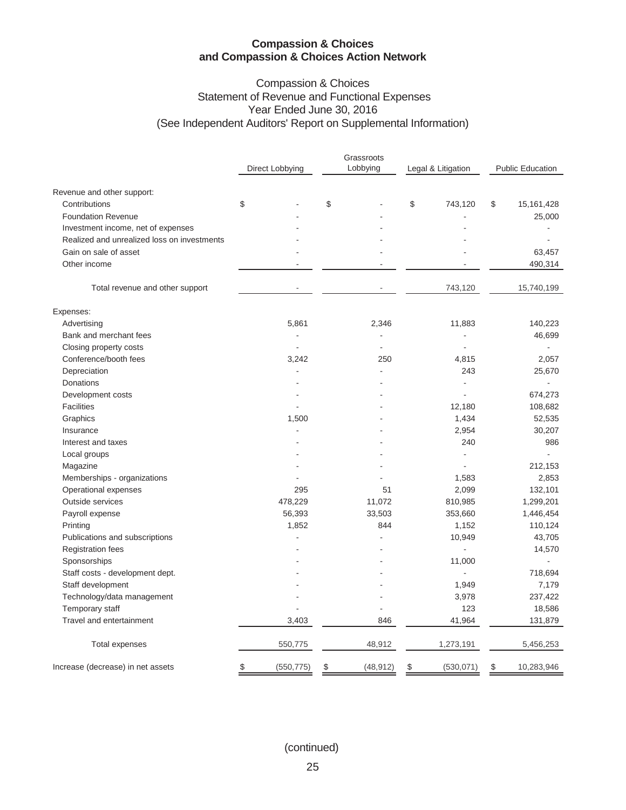# Compassion & Choices Statement of Revenue and Functional Expenses Year Ended June 30, 2016 (See Independent Auditors' Report on Supplemental Information)

| Lobbying<br>Legal & Litigation<br><b>Public Education</b><br>Direct Lobbying<br>Revenue and other support:<br>\$<br>\$<br>\$<br>Contributions<br>743,120<br>\$<br>15,161,428<br><b>Foundation Revenue</b><br>25,000<br>Investment income, net of expenses<br>Realized and unrealized loss on investments<br>Gain on sale of asset<br>63,457<br>Other income<br>490,314<br>Total revenue and other support<br>743,120<br>15,740,199<br>Expenses:<br>Advertising<br>5,861<br>2,346<br>11,883<br>140,223<br>Bank and merchant fees<br>46,699<br>Closing property costs<br>$\overline{\phantom{a}}$<br>Conference/booth fees<br>3,242<br>250<br>4,815<br>2,057<br>Depreciation<br>243<br>25,670<br>÷.<br>Donations<br>L,<br>ä,<br>674,273<br>Development costs<br><b>Facilities</b><br>12,180<br>108,682<br>Graphics<br>1,500<br>1,434<br>52,535<br>2,954<br>30,207<br>Insurance<br>Interest and taxes<br>240<br>986<br>Local groups<br>Magazine<br>212,153<br>Memberships - organizations<br>1,583<br>2,853<br>Operational expenses<br>295<br>51<br>2,099<br>132,101<br>Outside services<br>478,229<br>810,985<br>11,072<br>1,299,201<br>56,393<br>33,503<br>353,660<br>1,446,454<br>Payroll expense<br>1,852<br>Printing<br>844<br>1,152<br>110,124<br>Publications and subscriptions<br>10,949<br>43,705<br><b>Registration fees</b><br>14,570<br>Sponsorships<br>11,000<br>L.<br>Staff costs - development dept.<br>718,694<br>$\overline{a}$<br>7,179<br>Staff development<br>1,949<br>Technology/data management<br>3,978<br>237,422<br>Temporary staff<br>123<br>18,586<br>Travel and entertainment<br>3,403<br>41,964<br>846<br>131,879<br>48,912<br>550,775<br>1,273,191<br>5,456,253<br>Total expenses<br>(530, 071)<br>10,283,946<br>Increase (decrease) in net assets<br>\$<br>(550, 775)<br>\$<br>(48, 912)<br>\$<br>\$ |  |  |  | Grassroots |  |  |  |  |  |  |
|----------------------------------------------------------------------------------------------------------------------------------------------------------------------------------------------------------------------------------------------------------------------------------------------------------------------------------------------------------------------------------------------------------------------------------------------------------------------------------------------------------------------------------------------------------------------------------------------------------------------------------------------------------------------------------------------------------------------------------------------------------------------------------------------------------------------------------------------------------------------------------------------------------------------------------------------------------------------------------------------------------------------------------------------------------------------------------------------------------------------------------------------------------------------------------------------------------------------------------------------------------------------------------------------------------------------------------------------------------------------------------------------------------------------------------------------------------------------------------------------------------------------------------------------------------------------------------------------------------------------------------------------------------------------------------------------------------------------------------------------------------------------------------------------------------------------------------|--|--|--|------------|--|--|--|--|--|--|
|                                                                                                                                                                                                                                                                                                                                                                                                                                                                                                                                                                                                                                                                                                                                                                                                                                                                                                                                                                                                                                                                                                                                                                                                                                                                                                                                                                                                                                                                                                                                                                                                                                                                                                                                                                                                                                  |  |  |  |            |  |  |  |  |  |  |
|                                                                                                                                                                                                                                                                                                                                                                                                                                                                                                                                                                                                                                                                                                                                                                                                                                                                                                                                                                                                                                                                                                                                                                                                                                                                                                                                                                                                                                                                                                                                                                                                                                                                                                                                                                                                                                  |  |  |  |            |  |  |  |  |  |  |
|                                                                                                                                                                                                                                                                                                                                                                                                                                                                                                                                                                                                                                                                                                                                                                                                                                                                                                                                                                                                                                                                                                                                                                                                                                                                                                                                                                                                                                                                                                                                                                                                                                                                                                                                                                                                                                  |  |  |  |            |  |  |  |  |  |  |
|                                                                                                                                                                                                                                                                                                                                                                                                                                                                                                                                                                                                                                                                                                                                                                                                                                                                                                                                                                                                                                                                                                                                                                                                                                                                                                                                                                                                                                                                                                                                                                                                                                                                                                                                                                                                                                  |  |  |  |            |  |  |  |  |  |  |
|                                                                                                                                                                                                                                                                                                                                                                                                                                                                                                                                                                                                                                                                                                                                                                                                                                                                                                                                                                                                                                                                                                                                                                                                                                                                                                                                                                                                                                                                                                                                                                                                                                                                                                                                                                                                                                  |  |  |  |            |  |  |  |  |  |  |
|                                                                                                                                                                                                                                                                                                                                                                                                                                                                                                                                                                                                                                                                                                                                                                                                                                                                                                                                                                                                                                                                                                                                                                                                                                                                                                                                                                                                                                                                                                                                                                                                                                                                                                                                                                                                                                  |  |  |  |            |  |  |  |  |  |  |
|                                                                                                                                                                                                                                                                                                                                                                                                                                                                                                                                                                                                                                                                                                                                                                                                                                                                                                                                                                                                                                                                                                                                                                                                                                                                                                                                                                                                                                                                                                                                                                                                                                                                                                                                                                                                                                  |  |  |  |            |  |  |  |  |  |  |
|                                                                                                                                                                                                                                                                                                                                                                                                                                                                                                                                                                                                                                                                                                                                                                                                                                                                                                                                                                                                                                                                                                                                                                                                                                                                                                                                                                                                                                                                                                                                                                                                                                                                                                                                                                                                                                  |  |  |  |            |  |  |  |  |  |  |
|                                                                                                                                                                                                                                                                                                                                                                                                                                                                                                                                                                                                                                                                                                                                                                                                                                                                                                                                                                                                                                                                                                                                                                                                                                                                                                                                                                                                                                                                                                                                                                                                                                                                                                                                                                                                                                  |  |  |  |            |  |  |  |  |  |  |
|                                                                                                                                                                                                                                                                                                                                                                                                                                                                                                                                                                                                                                                                                                                                                                                                                                                                                                                                                                                                                                                                                                                                                                                                                                                                                                                                                                                                                                                                                                                                                                                                                                                                                                                                                                                                                                  |  |  |  |            |  |  |  |  |  |  |
|                                                                                                                                                                                                                                                                                                                                                                                                                                                                                                                                                                                                                                                                                                                                                                                                                                                                                                                                                                                                                                                                                                                                                                                                                                                                                                                                                                                                                                                                                                                                                                                                                                                                                                                                                                                                                                  |  |  |  |            |  |  |  |  |  |  |
|                                                                                                                                                                                                                                                                                                                                                                                                                                                                                                                                                                                                                                                                                                                                                                                                                                                                                                                                                                                                                                                                                                                                                                                                                                                                                                                                                                                                                                                                                                                                                                                                                                                                                                                                                                                                                                  |  |  |  |            |  |  |  |  |  |  |
|                                                                                                                                                                                                                                                                                                                                                                                                                                                                                                                                                                                                                                                                                                                                                                                                                                                                                                                                                                                                                                                                                                                                                                                                                                                                                                                                                                                                                                                                                                                                                                                                                                                                                                                                                                                                                                  |  |  |  |            |  |  |  |  |  |  |
|                                                                                                                                                                                                                                                                                                                                                                                                                                                                                                                                                                                                                                                                                                                                                                                                                                                                                                                                                                                                                                                                                                                                                                                                                                                                                                                                                                                                                                                                                                                                                                                                                                                                                                                                                                                                                                  |  |  |  |            |  |  |  |  |  |  |
|                                                                                                                                                                                                                                                                                                                                                                                                                                                                                                                                                                                                                                                                                                                                                                                                                                                                                                                                                                                                                                                                                                                                                                                                                                                                                                                                                                                                                                                                                                                                                                                                                                                                                                                                                                                                                                  |  |  |  |            |  |  |  |  |  |  |
|                                                                                                                                                                                                                                                                                                                                                                                                                                                                                                                                                                                                                                                                                                                                                                                                                                                                                                                                                                                                                                                                                                                                                                                                                                                                                                                                                                                                                                                                                                                                                                                                                                                                                                                                                                                                                                  |  |  |  |            |  |  |  |  |  |  |
|                                                                                                                                                                                                                                                                                                                                                                                                                                                                                                                                                                                                                                                                                                                                                                                                                                                                                                                                                                                                                                                                                                                                                                                                                                                                                                                                                                                                                                                                                                                                                                                                                                                                                                                                                                                                                                  |  |  |  |            |  |  |  |  |  |  |
|                                                                                                                                                                                                                                                                                                                                                                                                                                                                                                                                                                                                                                                                                                                                                                                                                                                                                                                                                                                                                                                                                                                                                                                                                                                                                                                                                                                                                                                                                                                                                                                                                                                                                                                                                                                                                                  |  |  |  |            |  |  |  |  |  |  |
|                                                                                                                                                                                                                                                                                                                                                                                                                                                                                                                                                                                                                                                                                                                                                                                                                                                                                                                                                                                                                                                                                                                                                                                                                                                                                                                                                                                                                                                                                                                                                                                                                                                                                                                                                                                                                                  |  |  |  |            |  |  |  |  |  |  |
|                                                                                                                                                                                                                                                                                                                                                                                                                                                                                                                                                                                                                                                                                                                                                                                                                                                                                                                                                                                                                                                                                                                                                                                                                                                                                                                                                                                                                                                                                                                                                                                                                                                                                                                                                                                                                                  |  |  |  |            |  |  |  |  |  |  |
|                                                                                                                                                                                                                                                                                                                                                                                                                                                                                                                                                                                                                                                                                                                                                                                                                                                                                                                                                                                                                                                                                                                                                                                                                                                                                                                                                                                                                                                                                                                                                                                                                                                                                                                                                                                                                                  |  |  |  |            |  |  |  |  |  |  |
|                                                                                                                                                                                                                                                                                                                                                                                                                                                                                                                                                                                                                                                                                                                                                                                                                                                                                                                                                                                                                                                                                                                                                                                                                                                                                                                                                                                                                                                                                                                                                                                                                                                                                                                                                                                                                                  |  |  |  |            |  |  |  |  |  |  |
|                                                                                                                                                                                                                                                                                                                                                                                                                                                                                                                                                                                                                                                                                                                                                                                                                                                                                                                                                                                                                                                                                                                                                                                                                                                                                                                                                                                                                                                                                                                                                                                                                                                                                                                                                                                                                                  |  |  |  |            |  |  |  |  |  |  |
|                                                                                                                                                                                                                                                                                                                                                                                                                                                                                                                                                                                                                                                                                                                                                                                                                                                                                                                                                                                                                                                                                                                                                                                                                                                                                                                                                                                                                                                                                                                                                                                                                                                                                                                                                                                                                                  |  |  |  |            |  |  |  |  |  |  |
|                                                                                                                                                                                                                                                                                                                                                                                                                                                                                                                                                                                                                                                                                                                                                                                                                                                                                                                                                                                                                                                                                                                                                                                                                                                                                                                                                                                                                                                                                                                                                                                                                                                                                                                                                                                                                                  |  |  |  |            |  |  |  |  |  |  |
|                                                                                                                                                                                                                                                                                                                                                                                                                                                                                                                                                                                                                                                                                                                                                                                                                                                                                                                                                                                                                                                                                                                                                                                                                                                                                                                                                                                                                                                                                                                                                                                                                                                                                                                                                                                                                                  |  |  |  |            |  |  |  |  |  |  |
|                                                                                                                                                                                                                                                                                                                                                                                                                                                                                                                                                                                                                                                                                                                                                                                                                                                                                                                                                                                                                                                                                                                                                                                                                                                                                                                                                                                                                                                                                                                                                                                                                                                                                                                                                                                                                                  |  |  |  |            |  |  |  |  |  |  |
|                                                                                                                                                                                                                                                                                                                                                                                                                                                                                                                                                                                                                                                                                                                                                                                                                                                                                                                                                                                                                                                                                                                                                                                                                                                                                                                                                                                                                                                                                                                                                                                                                                                                                                                                                                                                                                  |  |  |  |            |  |  |  |  |  |  |
|                                                                                                                                                                                                                                                                                                                                                                                                                                                                                                                                                                                                                                                                                                                                                                                                                                                                                                                                                                                                                                                                                                                                                                                                                                                                                                                                                                                                                                                                                                                                                                                                                                                                                                                                                                                                                                  |  |  |  |            |  |  |  |  |  |  |
|                                                                                                                                                                                                                                                                                                                                                                                                                                                                                                                                                                                                                                                                                                                                                                                                                                                                                                                                                                                                                                                                                                                                                                                                                                                                                                                                                                                                                                                                                                                                                                                                                                                                                                                                                                                                                                  |  |  |  |            |  |  |  |  |  |  |
|                                                                                                                                                                                                                                                                                                                                                                                                                                                                                                                                                                                                                                                                                                                                                                                                                                                                                                                                                                                                                                                                                                                                                                                                                                                                                                                                                                                                                                                                                                                                                                                                                                                                                                                                                                                                                                  |  |  |  |            |  |  |  |  |  |  |
|                                                                                                                                                                                                                                                                                                                                                                                                                                                                                                                                                                                                                                                                                                                                                                                                                                                                                                                                                                                                                                                                                                                                                                                                                                                                                                                                                                                                                                                                                                                                                                                                                                                                                                                                                                                                                                  |  |  |  |            |  |  |  |  |  |  |
|                                                                                                                                                                                                                                                                                                                                                                                                                                                                                                                                                                                                                                                                                                                                                                                                                                                                                                                                                                                                                                                                                                                                                                                                                                                                                                                                                                                                                                                                                                                                                                                                                                                                                                                                                                                                                                  |  |  |  |            |  |  |  |  |  |  |
|                                                                                                                                                                                                                                                                                                                                                                                                                                                                                                                                                                                                                                                                                                                                                                                                                                                                                                                                                                                                                                                                                                                                                                                                                                                                                                                                                                                                                                                                                                                                                                                                                                                                                                                                                                                                                                  |  |  |  |            |  |  |  |  |  |  |
|                                                                                                                                                                                                                                                                                                                                                                                                                                                                                                                                                                                                                                                                                                                                                                                                                                                                                                                                                                                                                                                                                                                                                                                                                                                                                                                                                                                                                                                                                                                                                                                                                                                                                                                                                                                                                                  |  |  |  |            |  |  |  |  |  |  |
|                                                                                                                                                                                                                                                                                                                                                                                                                                                                                                                                                                                                                                                                                                                                                                                                                                                                                                                                                                                                                                                                                                                                                                                                                                                                                                                                                                                                                                                                                                                                                                                                                                                                                                                                                                                                                                  |  |  |  |            |  |  |  |  |  |  |
|                                                                                                                                                                                                                                                                                                                                                                                                                                                                                                                                                                                                                                                                                                                                                                                                                                                                                                                                                                                                                                                                                                                                                                                                                                                                                                                                                                                                                                                                                                                                                                                                                                                                                                                                                                                                                                  |  |  |  |            |  |  |  |  |  |  |
|                                                                                                                                                                                                                                                                                                                                                                                                                                                                                                                                                                                                                                                                                                                                                                                                                                                                                                                                                                                                                                                                                                                                                                                                                                                                                                                                                                                                                                                                                                                                                                                                                                                                                                                                                                                                                                  |  |  |  |            |  |  |  |  |  |  |
|                                                                                                                                                                                                                                                                                                                                                                                                                                                                                                                                                                                                                                                                                                                                                                                                                                                                                                                                                                                                                                                                                                                                                                                                                                                                                                                                                                                                                                                                                                                                                                                                                                                                                                                                                                                                                                  |  |  |  |            |  |  |  |  |  |  |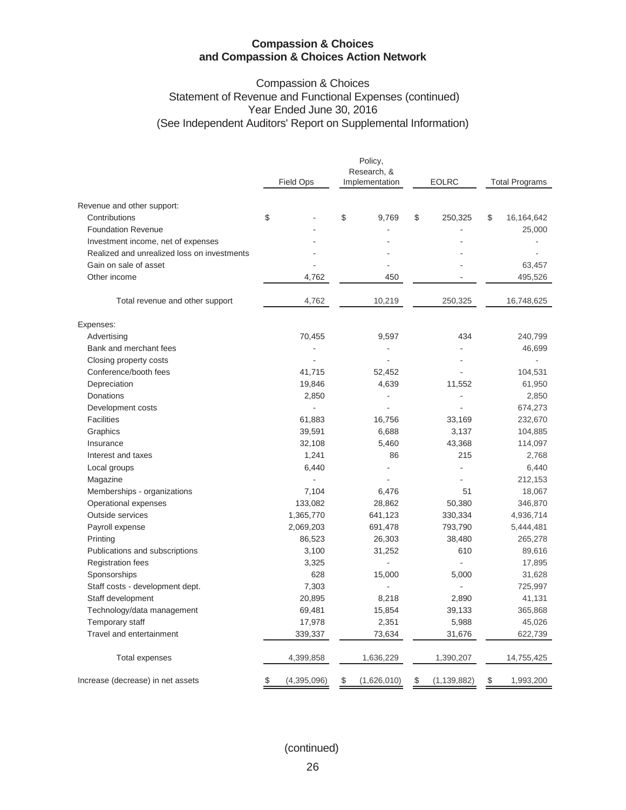# Compassion & Choices Statement of Revenue and Functional Expenses (continued) Year Ended June 30, 2016 (See Independent Auditors' Report on Supplemental Information)

| Revenue and other support:<br>\$<br>\$<br>\$<br>Contributions<br>9,769<br>250,325<br>\$<br><b>Foundation Revenue</b><br>Investment income, net of expenses<br>Realized and unrealized loss on investments<br>Gain on sale of asset<br>Other income<br>4,762<br>450<br>4,762<br>10,219<br>250,325<br>Total revenue and other support<br>Expenses:<br>434<br>Advertising<br>70,455<br>9,597<br>Bank and merchant fees | <b>Total Programs</b> |
|---------------------------------------------------------------------------------------------------------------------------------------------------------------------------------------------------------------------------------------------------------------------------------------------------------------------------------------------------------------------------------------------------------------------|-----------------------|
|                                                                                                                                                                                                                                                                                                                                                                                                                     |                       |
|                                                                                                                                                                                                                                                                                                                                                                                                                     | 16,164,642            |
|                                                                                                                                                                                                                                                                                                                                                                                                                     | 25,000                |
|                                                                                                                                                                                                                                                                                                                                                                                                                     |                       |
|                                                                                                                                                                                                                                                                                                                                                                                                                     |                       |
|                                                                                                                                                                                                                                                                                                                                                                                                                     | 63,457                |
|                                                                                                                                                                                                                                                                                                                                                                                                                     | 495,526               |
|                                                                                                                                                                                                                                                                                                                                                                                                                     | 16,748,625            |
|                                                                                                                                                                                                                                                                                                                                                                                                                     |                       |
|                                                                                                                                                                                                                                                                                                                                                                                                                     | 240,799               |
|                                                                                                                                                                                                                                                                                                                                                                                                                     | 46,699                |
| Closing property costs                                                                                                                                                                                                                                                                                                                                                                                              |                       |
| Conference/booth fees<br>41,715<br>52,452                                                                                                                                                                                                                                                                                                                                                                           | 104,531               |
| Depreciation<br>19,846<br>4,639<br>11,552                                                                                                                                                                                                                                                                                                                                                                           | 61,950                |
| Donations<br>2,850<br>$\blacksquare$                                                                                                                                                                                                                                                                                                                                                                                | 2,850                 |
| Development costs<br>÷.                                                                                                                                                                                                                                                                                                                                                                                             | 674,273               |
| <b>Facilities</b><br>61,883<br>16,756<br>33,169                                                                                                                                                                                                                                                                                                                                                                     | 232,670               |
| Graphics<br>39,591<br>6,688<br>3,137                                                                                                                                                                                                                                                                                                                                                                                | 104,885               |
| 5,460<br>Insurance<br>32,108<br>43,368                                                                                                                                                                                                                                                                                                                                                                              | 114,097               |
| 1,241<br>86<br>215<br>Interest and taxes                                                                                                                                                                                                                                                                                                                                                                            | 2,768                 |
| 6,440<br>$\overline{a}$<br>Local groups<br>L,                                                                                                                                                                                                                                                                                                                                                                       | 6,440                 |
| Magazine<br>$\sim$                                                                                                                                                                                                                                                                                                                                                                                                  | 212,153               |
| Memberships - organizations<br>7,104<br>51<br>6,476                                                                                                                                                                                                                                                                                                                                                                 | 18,067                |
| Operational expenses<br>133,082<br>28,862<br>50,380                                                                                                                                                                                                                                                                                                                                                                 | 346,870               |
| <b>Outside services</b><br>1,365,770<br>641,123<br>330,334                                                                                                                                                                                                                                                                                                                                                          | 4,936,714             |
| Payroll expense<br>2,069,203<br>691,478<br>793,790                                                                                                                                                                                                                                                                                                                                                                  | 5,444,481             |
| Printing<br>86,523<br>26,303<br>38,480                                                                                                                                                                                                                                                                                                                                                                              | 265,278               |
| Publications and subscriptions<br>3,100<br>31,252<br>610                                                                                                                                                                                                                                                                                                                                                            | 89,616                |
| <b>Registration fees</b><br>3,325                                                                                                                                                                                                                                                                                                                                                                                   | 17,895                |
| Sponsorships<br>628<br>15,000<br>5,000                                                                                                                                                                                                                                                                                                                                                                              | 31,628                |
| Staff costs - development dept.<br>7,303<br>$\overline{a}$<br>L.                                                                                                                                                                                                                                                                                                                                                    | 725,997               |
| Staff development<br>20,895<br>8,218<br>2,890                                                                                                                                                                                                                                                                                                                                                                       | 41,131                |
| Technology/data management<br>69,481<br>15,854<br>39,133                                                                                                                                                                                                                                                                                                                                                            | 365,868               |
| Temporary staff<br>17,978<br>2,351<br>5,988                                                                                                                                                                                                                                                                                                                                                                         | 45,026                |
| Travel and entertainment<br>339,337<br>73,634<br>31,676                                                                                                                                                                                                                                                                                                                                                             | 622,739               |
| 4,399,858<br>1,636,229<br>1,390,207<br>Total expenses                                                                                                                                                                                                                                                                                                                                                               | 14,755,425            |
| Increase (decrease) in net assets<br>(4,395,096)<br>\$<br>\$<br>(1,626,010)<br>(1, 139, 882)<br>\$<br>\$                                                                                                                                                                                                                                                                                                            | 1,993,200             |

(continued)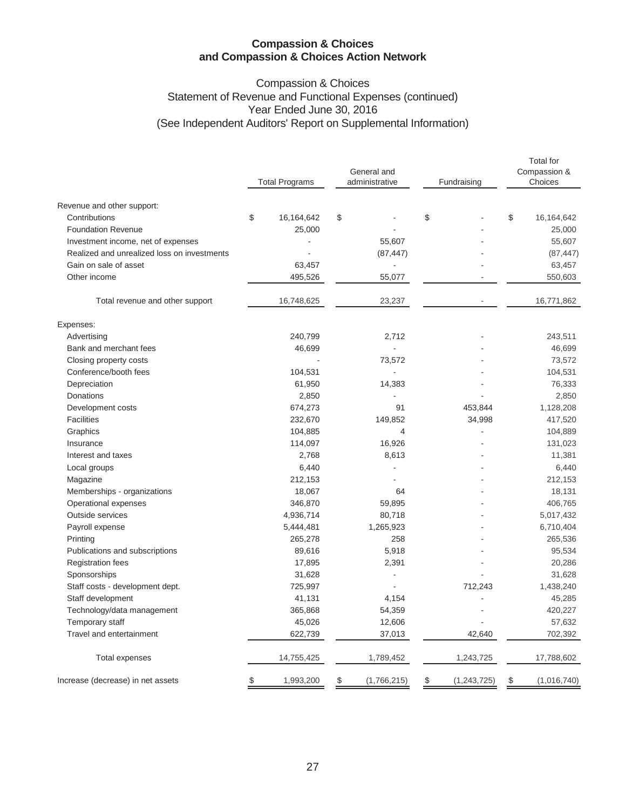# Compassion & Choices Statement of Revenue and Functional Expenses (continued) Year Ended June 30, 2016 (See Independent Auditors' Report on Supplemental Information)

|                                             | <b>Total Programs</b> |              | General and<br>administrative | Fundraising |               | <b>Total</b> for<br>Compassion &<br>Choices |             |  |
|---------------------------------------------|-----------------------|--------------|-------------------------------|-------------|---------------|---------------------------------------------|-------------|--|
|                                             |                       |              |                               |             |               |                                             |             |  |
| Revenue and other support:                  |                       |              |                               |             |               |                                             |             |  |
| Contributions                               | \$                    | 16, 164, 642 | \$                            | \$          |               | \$                                          | 16,164,642  |  |
| <b>Foundation Revenue</b>                   |                       | 25,000       |                               |             |               |                                             | 25,000      |  |
| Investment income, net of expenses          |                       |              | 55,607                        |             |               |                                             | 55,607      |  |
| Realized and unrealized loss on investments |                       |              | (87, 447)                     |             |               |                                             | (87, 447)   |  |
| Gain on sale of asset                       |                       | 63,457       |                               |             |               |                                             | 63,457      |  |
| Other income                                |                       | 495,526      | 55,077                        |             |               |                                             | 550,603     |  |
| Total revenue and other support             |                       | 16,748,625   | 23,237                        |             |               |                                             | 16,771,862  |  |
| Expenses:                                   |                       |              |                               |             |               |                                             |             |  |
| Advertising                                 |                       | 240,799      | 2.712                         |             |               |                                             | 243,511     |  |
| Bank and merchant fees                      |                       | 46,699       |                               |             |               |                                             | 46,699      |  |
| Closing property costs                      |                       |              | 73,572                        |             |               |                                             | 73,572      |  |
| Conference/booth fees                       |                       | 104,531      |                               |             |               |                                             | 104,531     |  |
| Depreciation                                |                       | 61,950       | 14,383                        |             |               |                                             | 76,333      |  |
| Donations                                   |                       | 2,850        |                               |             |               |                                             | 2,850       |  |
| Development costs                           |                       | 674,273      | 91                            |             | 453,844       |                                             | 1,128,208   |  |
| <b>Facilities</b>                           |                       | 232,670      | 149,852                       |             | 34,998        |                                             | 417,520     |  |
| Graphics                                    |                       | 104,885      | $\overline{4}$                |             |               |                                             | 104,889     |  |
| Insurance                                   |                       | 114,097      | 16,926                        |             |               |                                             | 131,023     |  |
| Interest and taxes                          |                       | 2,768        | 8,613                         |             |               |                                             | 11,381      |  |
| Local groups                                |                       | 6,440        |                               |             |               |                                             | 6,440       |  |
| Magazine                                    |                       | 212,153      |                               |             |               |                                             | 212,153     |  |
| Memberships - organizations                 |                       | 18,067       | 64                            |             |               |                                             | 18,131      |  |
| Operational expenses                        |                       | 346,870      | 59,895                        |             |               |                                             | 406,765     |  |
| Outside services                            |                       | 4,936,714    | 80,718                        |             |               |                                             | 5,017,432   |  |
| Payroll expense                             |                       | 5,444,481    | 1,265,923                     |             |               |                                             | 6,710,404   |  |
| Printing                                    |                       | 265,278      | 258                           |             |               |                                             | 265,536     |  |
| Publications and subscriptions              |                       | 89,616       | 5,918                         |             |               |                                             | 95,534      |  |
| <b>Registration fees</b>                    |                       | 17,895       | 2,391                         |             |               |                                             | 20,286      |  |
| Sponsorships                                |                       | 31,628       | $\overline{\phantom{a}}$      |             |               |                                             | 31,628      |  |
| Staff costs - development dept.             |                       | 725,997      |                               |             | 712,243       |                                             | 1,438,240   |  |
| Staff development                           |                       | 41,131       | 4,154                         |             |               |                                             | 45,285      |  |
| Technology/data management                  |                       | 365,868      | 54,359                        |             |               |                                             | 420,227     |  |
| Temporary staff                             |                       | 45,026       | 12,606                        |             |               |                                             | 57,632      |  |
| Travel and entertainment                    |                       | 622,739      | 37,013                        |             | 42,640        |                                             | 702,392     |  |
| <b>Total expenses</b>                       |                       | 14,755,425   | 1,789,452                     |             | 1,243,725     |                                             | 17,788,602  |  |
| Increase (decrease) in net assets           | \$                    | 1,993,200    | \$<br>(1,766,215)             | \$          | (1, 243, 725) | \$                                          | (1,016,740) |  |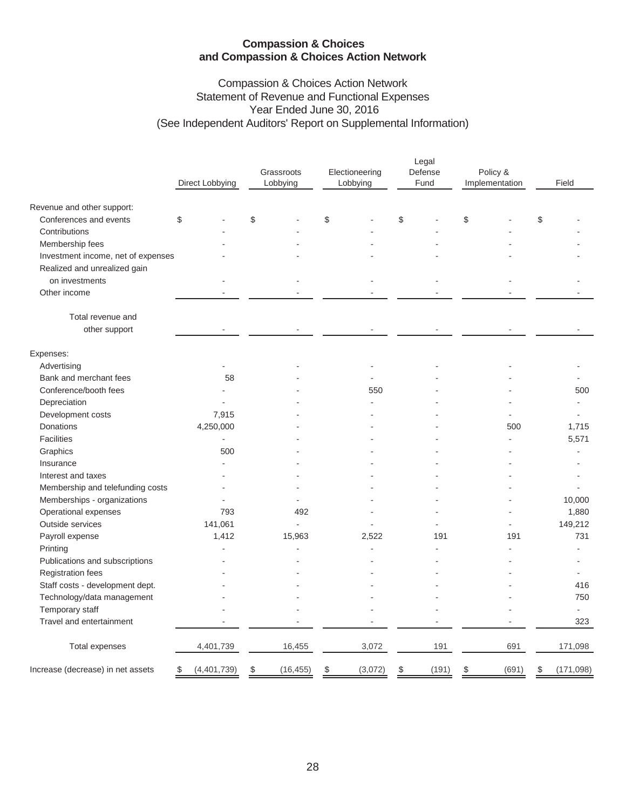# Compassion & Choices Action Network Statement of Revenue and Functional Expenses Year Ended June 30, 2016 (See Independent Auditors' Report on Supplemental Information)

|                                    | Direct Lobbying   | Grassroots<br>Lobbying | Electioneering<br>Lobbying | Legal<br>Defense<br>Fund | Policy &<br>Implementation | Field            |
|------------------------------------|-------------------|------------------------|----------------------------|--------------------------|----------------------------|------------------|
| Revenue and other support:         |                   |                        |                            |                          |                            |                  |
| Conferences and events             | \$                | \$                     | \$                         | \$                       | \$                         | \$               |
| Contributions                      |                   |                        |                            |                          |                            |                  |
| Membership fees                    |                   |                        |                            |                          |                            |                  |
| Investment income, net of expenses |                   |                        |                            |                          |                            |                  |
| Realized and unrealized gain       |                   |                        |                            |                          |                            |                  |
| on investments                     |                   |                        |                            |                          |                            |                  |
| Other income                       |                   |                        |                            |                          |                            |                  |
| Total revenue and<br>other support |                   |                        |                            |                          |                            |                  |
| Expenses:                          |                   |                        |                            |                          |                            |                  |
| Advertising                        |                   |                        |                            |                          |                            |                  |
| Bank and merchant fees             | 58                |                        |                            |                          |                            |                  |
| Conference/booth fees              |                   |                        | 550                        |                          |                            | 500              |
| Depreciation                       |                   |                        |                            |                          |                            |                  |
| Development costs                  | 7,915             |                        |                            |                          |                            |                  |
| Donations                          | 4,250,000         |                        |                            |                          | 500                        | 1,715            |
| <b>Facilities</b>                  | $\blacksquare$    |                        |                            |                          |                            | 5,571            |
| Graphics                           | 500               |                        |                            |                          |                            | ÷                |
| Insurance                          |                   |                        |                            |                          |                            |                  |
| Interest and taxes                 |                   |                        |                            |                          |                            |                  |
| Membership and telefunding costs   |                   |                        |                            |                          |                            |                  |
| Memberships - organizations        |                   |                        |                            |                          |                            | 10,000           |
| Operational expenses               | 793               | 492                    |                            |                          |                            | 1,880            |
| Outside services                   | 141,061           |                        |                            |                          |                            | 149,212          |
| Payroll expense                    | 1,412             | 15,963                 | 2,522                      | 191                      | 191                        | 731              |
| Printing                           |                   |                        |                            |                          |                            |                  |
| Publications and subscriptions     |                   |                        |                            |                          |                            |                  |
| Registration fees                  |                   |                        |                            |                          |                            |                  |
| Staff costs - development dept.    |                   |                        |                            |                          |                            | 416              |
| Technology/data management         |                   |                        |                            |                          |                            | 750              |
| Temporary staff                    |                   |                        |                            |                          |                            |                  |
| Travel and entertainment           |                   |                        |                            |                          |                            | 323              |
| <b>Total expenses</b>              | 4,401,739         | 16,455                 | 3,072                      | 191                      | 691                        | 171,098          |
| Increase (decrease) in net assets  | (4,401,739)<br>\$ | \$<br>(16, 455)        | (3,072)<br>\$              | \$<br>(191)              | (691)<br>\$                | (171, 098)<br>\$ |